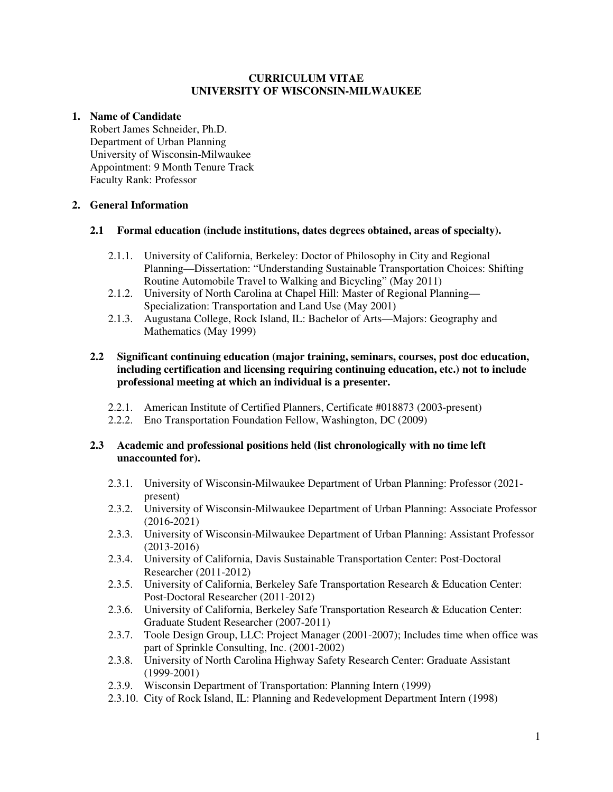### **CURRICULUM VITAE UNIVERSITY OF WISCONSIN-MILWAUKEE**

# **1. Name of Candidate**

 Robert James Schneider, Ph.D. Department of Urban Planning University of Wisconsin-Milwaukee Appointment: 9 Month Tenure Track Faculty Rank: Professor

# **2. General Information**

## **2.1 Formal education (include institutions, dates degrees obtained, areas of specialty).**

- 2.1.1. University of California, Berkeley: Doctor of Philosophy in City and Regional Planning—Dissertation: "Understanding Sustainable Transportation Choices: Shifting Routine Automobile Travel to Walking and Bicycling" (May 2011)
- 2.1.2. University of North Carolina at Chapel Hill: Master of Regional Planning— Specialization: Transportation and Land Use (May 2001)
- 2.1.3. Augustana College, Rock Island, IL: Bachelor of Arts—Majors: Geography and Mathematics (May 1999)

### **2.2 Significant continuing education (major training, seminars, courses, post doc education, including certification and licensing requiring continuing education, etc.) not to include professional meeting at which an individual is a presenter.**

- 2.2.1. American Institute of Certified Planners, Certificate #018873 (2003-present)
- 2.2.2. Eno Transportation Foundation Fellow, Washington, DC (2009)

## **2.3 Academic and professional positions held (list chronologically with no time left unaccounted for).**

- 2.3.1. University of Wisconsin-Milwaukee Department of Urban Planning: Professor (2021 present)
- 2.3.2. University of Wisconsin-Milwaukee Department of Urban Planning: Associate Professor (2016-2021)
- 2.3.3. University of Wisconsin-Milwaukee Department of Urban Planning: Assistant Professor (2013-2016)
- 2.3.4. University of California, Davis Sustainable Transportation Center: Post-Doctoral Researcher (2011-2012)
- 2.3.5. University of California, Berkeley Safe Transportation Research & Education Center: Post-Doctoral Researcher (2011-2012)
- 2.3.6. University of California, Berkeley Safe Transportation Research & Education Center: Graduate Student Researcher (2007-2011)
- 2.3.7. Toole Design Group, LLC: Project Manager (2001-2007); Includes time when office was part of Sprinkle Consulting, Inc. (2001-2002)
- 2.3.8. University of North Carolina Highway Safety Research Center: Graduate Assistant (1999-2001)
- 2.3.9. Wisconsin Department of Transportation: Planning Intern (1999)
- 2.3.10. City of Rock Island, IL: Planning and Redevelopment Department Intern (1998)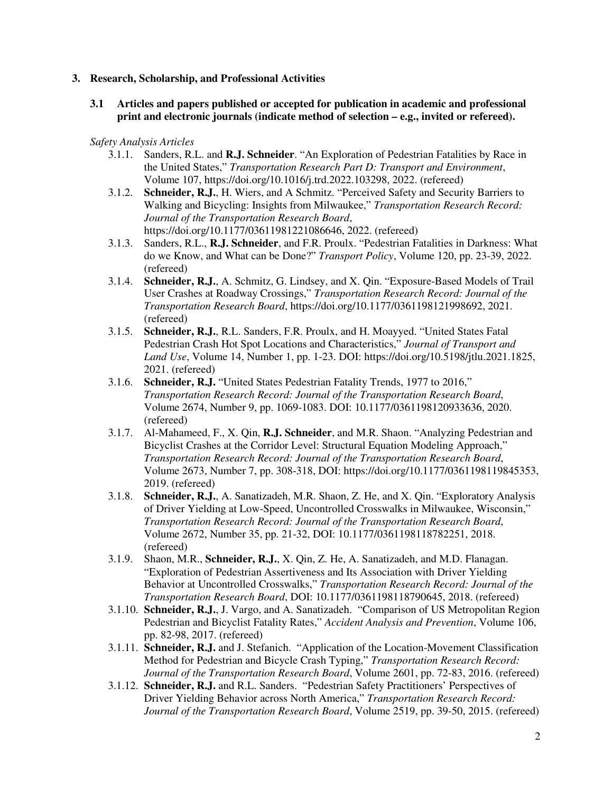#### **3. Research, Scholarship, and Professional Activities**

### **3.1 Articles and papers published or accepted for publication in academic and professional print and electronic journals (indicate method of selection – e.g., invited or refereed).**

#### *Safety Analysis Articles*

- 3.1.1. Sanders, R.L. and **R.J. Schneider**. "An Exploration of Pedestrian Fatalities by Race in the United States," *Transportation Research Part D: Transport and Environment*, Volume 107, https://doi.org/10.1016/j.trd.2022.103298, 2022. (refereed)
- 3.1.2. **Schneider, R.J.**, H. Wiers, and A Schmitz. "Perceived Safety and Security Barriers to Walking and Bicycling: Insights from Milwaukee," *Transportation Research Record: Journal of the Transportation Research Board*, https://doi.org/10.1177/03611981221086646, 2022. (refereed)
- 3.1.3. Sanders, R.L., **R.J. Schneider**, and F.R. Proulx. "Pedestrian Fatalities in Darkness: What do we Know, and What can be Done?" *Transport Policy*, Volume 120, pp. 23-39, 2022. (refereed)
- 3.1.4. **Schneider, R.J.**, A. Schmitz, G. Lindsey, and X. Qin. "Exposure-Based Models of Trail User Crashes at Roadway Crossings," *Transportation Research Record: Journal of the Transportation Research Board*, https://doi.org/10.1177/0361198121998692, 2021. (refereed)
- 3.1.5. **Schneider, R.J.**, R.L. Sanders, F.R. Proulx, and H. Moayyed. "United States Fatal Pedestrian Crash Hot Spot Locations and Characteristics," *Journal of Transport and Land Use*, Volume 14, Number 1, pp. 1-23. DOI: https://doi.org/10.5198/jtlu.2021.1825, 2021. (refereed)
- 3.1.6. **Schneider, R.J.** "United States Pedestrian Fatality Trends, 1977 to 2016," *Transportation Research Record: Journal of the Transportation Research Board*, Volume 2674, Number 9, pp. 1069-1083. DOI: 10.1177/0361198120933636, 2020. (refereed)
- 3.1.7. Al-Mahameed, F., X. Qin, **R.J. Schneider**, and M.R. Shaon. "Analyzing Pedestrian and Bicyclist Crashes at the Corridor Level: Structural Equation Modeling Approach," *Transportation Research Record: Journal of the Transportation Research Board*, Volume 2673, Number 7, pp. 308-318, DOI: https://doi.org/10.1177/0361198119845353, 2019. (refereed)
- 3.1.8. **Schneider, R.J.**, A. Sanatizadeh, M.R. Shaon, Z. He, and X. Qin. "Exploratory Analysis of Driver Yielding at Low-Speed, Uncontrolled Crosswalks in Milwaukee, Wisconsin," *Transportation Research Record: Journal of the Transportation Research Board*, Volume 2672, Number 35, pp. 21-32, DOI: 10.1177/0361198118782251, 2018. (refereed)
- 3.1.9. Shaon, M.R., **Schneider, R.J.**, X. Qin, Z. He, A. Sanatizadeh, and M.D. Flanagan. "Exploration of Pedestrian Assertiveness and Its Association with Driver Yielding Behavior at Uncontrolled Crosswalks," *Transportation Research Record: Journal of the Transportation Research Board*, DOI: 10.1177/0361198118790645, 2018. (refereed)
- 3.1.10. **Schneider, R.J.**, J. Vargo, and A. Sanatizadeh. "Comparison of US Metropolitan Region Pedestrian and Bicyclist Fatality Rates," *Accident Analysis and Prevention*, Volume 106, pp. 82-98, 2017. (refereed)
- 3.1.11. **Schneider, R.J.** and J. Stefanich. "Application of the Location-Movement Classification Method for Pedestrian and Bicycle Crash Typing," *Transportation Research Record: Journal of the Transportation Research Board*, Volume 2601, pp. 72-83, 2016. (refereed)
- 3.1.12. **Schneider, R.J.** and R.L. Sanders. "Pedestrian Safety Practitioners' Perspectives of Driver Yielding Behavior across North America," *Transportation Research Record: Journal of the Transportation Research Board*, Volume 2519, pp. 39-50, 2015. (refereed)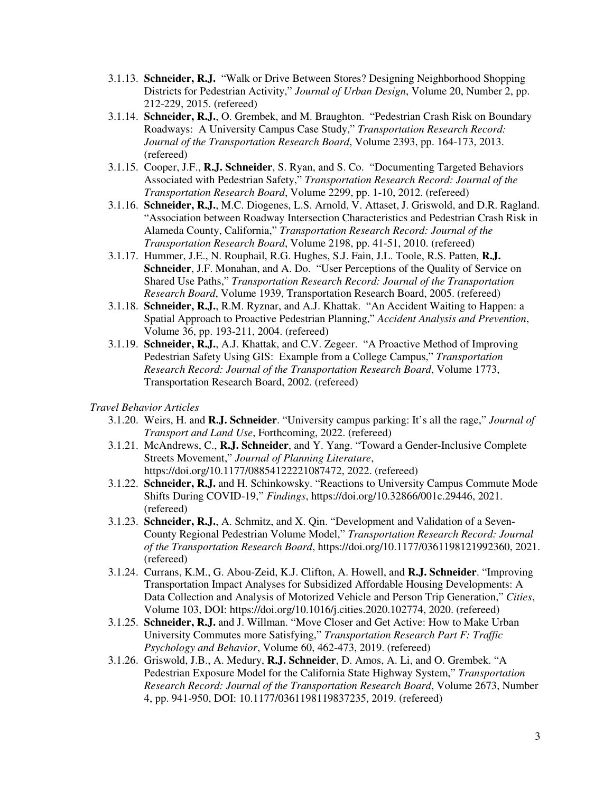- 3.1.13. **Schneider, R.J.** "Walk or Drive Between Stores? Designing Neighborhood Shopping Districts for Pedestrian Activity," *Journal of Urban Design*, Volume 20, Number 2, pp. 212-229, 2015. (refereed)
- 3.1.14. **Schneider, R.J.**, O. Grembek, and M. Braughton. "Pedestrian Crash Risk on Boundary Roadways: A University Campus Case Study," *Transportation Research Record: Journal of the Transportation Research Board*, Volume 2393, pp. 164-173, 2013. (refereed)
- 3.1.15. Cooper, J.F., **R.J. Schneider**, S. Ryan, and S. Co. "Documenting Targeted Behaviors Associated with Pedestrian Safety," *Transportation Research Record: Journal of the Transportation Research Board*, Volume 2299, pp. 1-10, 2012. (refereed)
- 3.1.16. **Schneider, R.J.**, M.C. Diogenes, L.S. Arnold, V. Attaset, J. Griswold, and D.R. Ragland. "Association between Roadway Intersection Characteristics and Pedestrian Crash Risk in Alameda County, California," *Transportation Research Record: Journal of the Transportation Research Board*, Volume 2198, pp. 41-51, 2010. (refereed)
- 3.1.17. Hummer, J.E., N. Rouphail, R.G. Hughes, S.J. Fain, J.L. Toole, R.S. Patten, **R.J. Schneider**, J.F. Monahan, and A. Do. "User Perceptions of the Quality of Service on Shared Use Paths," *Transportation Research Record: Journal of the Transportation Research Board*, Volume 1939, Transportation Research Board, 2005. (refereed)
- 3.1.18. **Schneider, R.J.**, R.M. Ryznar, and A.J. Khattak. "An Accident Waiting to Happen: a Spatial Approach to Proactive Pedestrian Planning," *Accident Analysis and Prevention*, Volume 36, pp. 193-211, 2004. (refereed)
- 3.1.19. **Schneider, R.J.**, A.J. Khattak, and C.V. Zegeer. "A Proactive Method of Improving Pedestrian Safety Using GIS: Example from a College Campus," *Transportation Research Record: Journal of the Transportation Research Board*, Volume 1773, Transportation Research Board, 2002. (refereed)

*Travel Behavior Articles* 

- 3.1.20. Weirs, H. and **R.J. Schneider**. "University campus parking: It's all the rage," *Journal of Transport and Land Use*, Forthcoming, 2022. (refereed)
- 3.1.21. McAndrews, C., **R.J. Schneider**, and Y. Yang. "Toward a Gender-Inclusive Complete Streets Movement," *Journal of Planning Literature*, https://doi.org/10.1177/08854122221087472, 2022. (refereed)
- 3.1.22. **Schneider, R.J.** and H. Schinkowsky. "Reactions to University Campus Commute Mode Shifts During COVID-19," *Findings*, https://doi.org/10.32866/001c.29446, 2021. (refereed)
- 3.1.23. **Schneider, R.J.**, A. Schmitz, and X. Qin. "Development and Validation of a Seven-County Regional Pedestrian Volume Model," *Transportation Research Record: Journal of the Transportation Research Board*, https://doi.org/10.1177/0361198121992360, 2021. (refereed)
- 3.1.24. Currans, K.M., G. Abou-Zeid, K.J. Clifton, A. Howell, and **R.J. Schneider**. "Improving Transportation Impact Analyses for Subsidized Affordable Housing Developments: A Data Collection and Analysis of Motorized Vehicle and Person Trip Generation," *Cities*, Volume 103, DOI: https://doi.org/10.1016/j.cities.2020.102774, 2020. (refereed)
- 3.1.25. **Schneider, R.J.** and J. Willman. "Move Closer and Get Active: How to Make Urban University Commutes more Satisfying," *Transportation Research Part F: Traffic Psychology and Behavior*, Volume 60, 462-473, 2019. (refereed)
- 3.1.26. Griswold, J.B., A. Medury, **R.J. Schneider**, D. Amos, A. Li, and O. Grembek. "A Pedestrian Exposure Model for the California State Highway System," *Transportation Research Record: Journal of the Transportation Research Board*, Volume 2673, Number 4, pp. 941-950, DOI: 10.1177/0361198119837235, 2019. (refereed)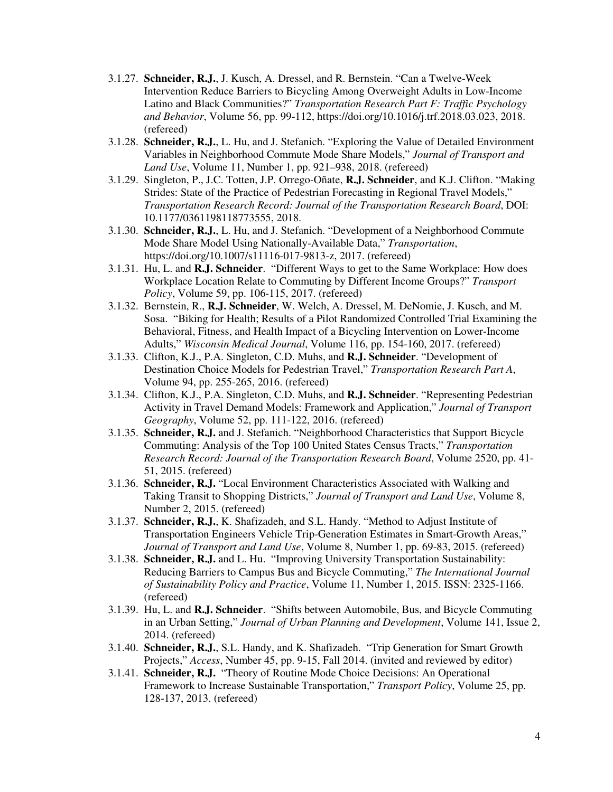- 3.1.27. **Schneider, R.J.**, J. Kusch, A. Dressel, and R. Bernstein. "Can a Twelve-Week Intervention Reduce Barriers to Bicycling Among Overweight Adults in Low-Income Latino and Black Communities?" *Transportation Research Part F: Traffic Psychology and Behavior*, Volume 56, pp. 99-112, https://doi.org/10.1016/j.trf.2018.03.023, 2018. (refereed)
- 3.1.28. **Schneider, R.J.**, L. Hu, and J. Stefanich. "Exploring the Value of Detailed Environment Variables in Neighborhood Commute Mode Share Models," *Journal of Transport and Land Use*, Volume 11, Number 1, pp. 921–938, 2018. (refereed)
- 3.1.29. Singleton, P., J.C. Totten, J.P. Orrego-Oñate, **R.J. Schneider**, and K.J. Clifton. "Making Strides: State of the Practice of Pedestrian Forecasting in Regional Travel Models," *Transportation Research Record: Journal of the Transportation Research Board*, DOI: 10.1177/0361198118773555, 2018.
- 3.1.30. **Schneider, R.J.**, L. Hu, and J. Stefanich. "Development of a Neighborhood Commute Mode Share Model Using Nationally-Available Data," *Transportation*, https://doi.org/10.1007/s11116-017-9813-z, 2017. (refereed)
- 3.1.31. Hu, L. and **R.J. Schneider**. "Different Ways to get to the Same Workplace: How does Workplace Location Relate to Commuting by Different Income Groups?" *Transport Policy*, Volume 59, pp. 106-115, 2017. (refereed)
- 3.1.32. Bernstein, R., **R.J. Schneider**, W. Welch, A. Dressel, M. DeNomie, J. Kusch, and M. Sosa. "Biking for Health; Results of a Pilot Randomized Controlled Trial Examining the Behavioral, Fitness, and Health Impact of a Bicycling Intervention on Lower-Income Adults," *Wisconsin Medical Journal*, Volume 116, pp. 154-160, 2017. (refereed)
- 3.1.33. Clifton, K.J., P.A. Singleton, C.D. Muhs, and **R.J. Schneider**. "Development of Destination Choice Models for Pedestrian Travel," *Transportation Research Part A*, Volume 94, pp. 255-265, 2016. (refereed)
- 3.1.34. Clifton, K.J., P.A. Singleton, C.D. Muhs, and **R.J. Schneider**. "Representing Pedestrian Activity in Travel Demand Models: Framework and Application," *Journal of Transport Geography*, Volume 52, pp. 111-122, 2016. (refereed)
- 3.1.35. **Schneider, R.J.** and J. Stefanich. "Neighborhood Characteristics that Support Bicycle Commuting: Analysis of the Top 100 United States Census Tracts," *Transportation Research Record: Journal of the Transportation Research Board*, Volume 2520, pp. 41- 51, 2015. (refereed)
- 3.1.36. **Schneider, R.J.** "Local Environment Characteristics Associated with Walking and Taking Transit to Shopping Districts," *Journal of Transport and Land Use*, Volume 8, Number 2, 2015. (refereed)
- 3.1.37. **Schneider, R.J.**, K. Shafizadeh, and S.L. Handy. "Method to Adjust Institute of Transportation Engineers Vehicle Trip-Generation Estimates in Smart-Growth Areas," *Journal of Transport and Land Use*, Volume 8, Number 1, pp. 69-83, 2015. (refereed)
- 3.1.38. **Schneider, R.J.** and L. Hu. "Improving University Transportation Sustainability: Reducing Barriers to Campus Bus and Bicycle Commuting," *The International Journal of Sustainability Policy and Practice*, Volume 11, Number 1, 2015. ISSN: 2325-1166. (refereed)
- 3.1.39. Hu, L. and **R.J. Schneider**. "Shifts between Automobile, Bus, and Bicycle Commuting in an Urban Setting," *Journal of Urban Planning and Development*, Volume 141, Issue 2, 2014. (refereed)
- 3.1.40. **Schneider, R.J.**, S.L. Handy, and K. Shafizadeh. "Trip Generation for Smart Growth Projects," *Access*, Number 45, pp. 9-15, Fall 2014. (invited and reviewed by editor)
- 3.1.41. **Schneider, R.J.** "Theory of Routine Mode Choice Decisions: An Operational Framework to Increase Sustainable Transportation," *Transport Policy*, Volume 25, pp. 128-137, 2013. (refereed)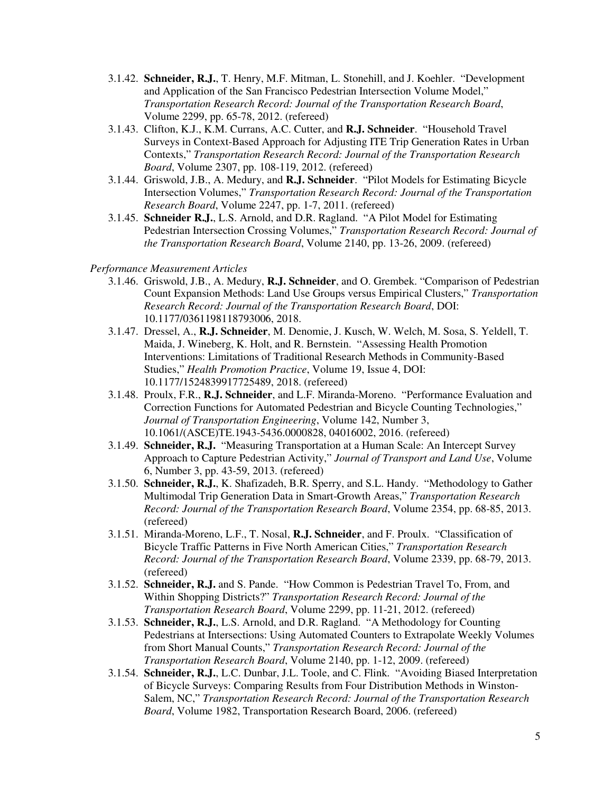- 3.1.42. **Schneider, R.J.**, T. Henry, M.F. Mitman, L. Stonehill, and J. Koehler. "Development and Application of the San Francisco Pedestrian Intersection Volume Model," *Transportation Research Record: Journal of the Transportation Research Board*, Volume 2299, pp. 65-78, 2012. (refereed)
- 3.1.43. Clifton, K.J., K.M. Currans, A.C. Cutter, and **R.J. Schneider**. "Household Travel Surveys in Context-Based Approach for Adjusting ITE Trip Generation Rates in Urban Contexts," *Transportation Research Record: Journal of the Transportation Research Board*, Volume 2307, pp. 108-119, 2012. (refereed)
- 3.1.44. Griswold, J.B., A. Medury, and **R.J. Schneider**. "Pilot Models for Estimating Bicycle Intersection Volumes," *Transportation Research Record: Journal of the Transportation Research Board*, Volume 2247, pp. 1-7, 2011. (refereed)
- 3.1.45. **Schneider R.J.**, L.S. Arnold, and D.R. Ragland. "A Pilot Model for Estimating Pedestrian Intersection Crossing Volumes," *Transportation Research Record: Journal of the Transportation Research Board*, Volume 2140, pp. 13-26, 2009. (refereed)

#### *Performance Measurement Articles*

- 3.1.46. Griswold, J.B., A. Medury, **R.J. Schneider**, and O. Grembek. "Comparison of Pedestrian Count Expansion Methods: Land Use Groups versus Empirical Clusters," *Transportation Research Record: Journal of the Transportation Research Board*, DOI: 10.1177/0361198118793006, 2018.
- 3.1.47. Dressel, A., **R.J. Schneider**, M. Denomie, J. Kusch, W. Welch, M. Sosa, S. Yeldell, T. Maida, J. Wineberg, K. Holt, and R. Bernstein. "Assessing Health Promotion Interventions: Limitations of Traditional Research Methods in Community-Based Studies," *Health Promotion Practice*, Volume 19, Issue 4, DOI: 10.1177/1524839917725489, 2018. (refereed)
- 3.1.48. Proulx, F.R., **R.J. Schneider**, and L.F. Miranda-Moreno. "Performance Evaluation and Correction Functions for Automated Pedestrian and Bicycle Counting Technologies," *Journal of Transportation Engineering*, Volume 142, Number 3, 10.1061/(ASCE)TE.1943-5436.0000828, 04016002, 2016. (refereed)
- 3.1.49. **Schneider, R.J.** "Measuring Transportation at a Human Scale: An Intercept Survey Approach to Capture Pedestrian Activity," *Journal of Transport and Land Use*, Volume 6, Number 3, pp. 43-59, 2013. (refereed)
- 3.1.50. **Schneider, R.J.**, K. Shafizadeh, B.R. Sperry, and S.L. Handy. "Methodology to Gather Multimodal Trip Generation Data in Smart-Growth Areas," *Transportation Research Record: Journal of the Transportation Research Board*, Volume 2354, pp. 68-85, 2013. (refereed)
- 3.1.51. Miranda-Moreno, L.F., T. Nosal, **R.J. Schneider**, and F. Proulx. "Classification of Bicycle Traffic Patterns in Five North American Cities," *Transportation Research Record: Journal of the Transportation Research Board*, Volume 2339, pp. 68-79, 2013. (refereed)
- 3.1.52. **Schneider, R.J.** and S. Pande. "How Common is Pedestrian Travel To, From, and Within Shopping Districts?" *Transportation Research Record: Journal of the Transportation Research Board*, Volume 2299, pp. 11-21, 2012. (refereed)
- 3.1.53. **Schneider, R.J.**, L.S. Arnold, and D.R. Ragland. "A Methodology for Counting Pedestrians at Intersections: Using Automated Counters to Extrapolate Weekly Volumes from Short Manual Counts," *Transportation Research Record: Journal of the Transportation Research Board*, Volume 2140, pp. 1-12, 2009. (refereed)
- 3.1.54. **Schneider, R.J.**, L.C. Dunbar, J.L. Toole, and C. Flink. "Avoiding Biased Interpretation of Bicycle Surveys: Comparing Results from Four Distribution Methods in Winston-Salem, NC," *Transportation Research Record: Journal of the Transportation Research Board*, Volume 1982, Transportation Research Board, 2006. (refereed)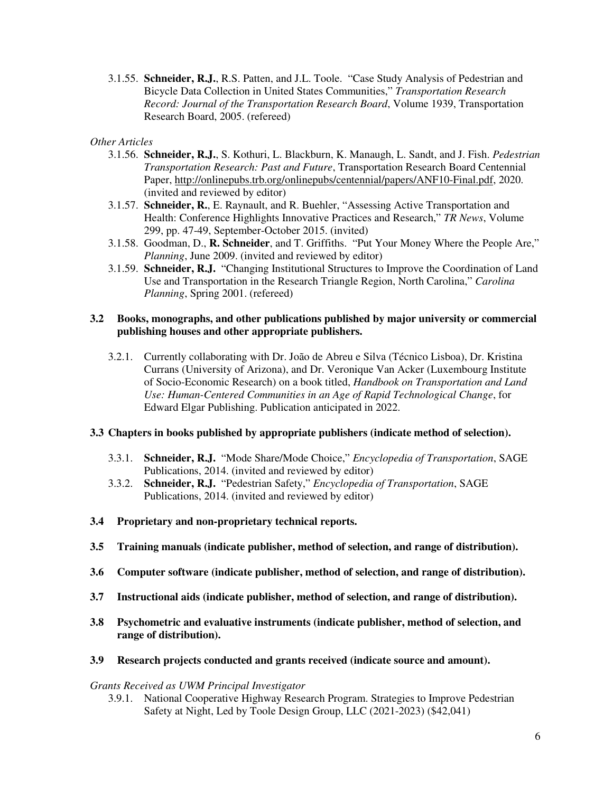3.1.55. **Schneider, R.J.**, R.S. Patten, and J.L. Toole. "Case Study Analysis of Pedestrian and Bicycle Data Collection in United States Communities," *Transportation Research Record: Journal of the Transportation Research Board*, Volume 1939, Transportation Research Board, 2005. (refereed)

### *Other Articles*

- 3.1.56. **Schneider, R.J.**, S. Kothuri, L. Blackburn, K. Manaugh, L. Sandt, and J. Fish. *Pedestrian Transportation Research: Past and Future*, Transportation Research Board Centennial Paper, http://onlinepubs.trb.org/onlinepubs/centennial/papers/ANF10-Final.pdf, 2020. (invited and reviewed by editor)
- 3.1.57. **Schneider, R.**, E. Raynault, and R. Buehler, "Assessing Active Transportation and Health: Conference Highlights Innovative Practices and Research," *TR News*, Volume 299, pp. 47-49, September-October 2015. (invited)
- 3.1.58. Goodman, D., **R. Schneider**, and T. Griffiths. "Put Your Money Where the People Are," *Planning*, June 2009. (invited and reviewed by editor)
- 3.1.59. **Schneider, R.J.** "Changing Institutional Structures to Improve the Coordination of Land Use and Transportation in the Research Triangle Region, North Carolina," *Carolina Planning*, Spring 2001. (refereed)

#### **3.2 Books, monographs, and other publications published by major university or commercial publishing houses and other appropriate publishers.**

3.2.1. Currently collaborating with Dr. João de Abreu e Silva (Técnico Lisboa), Dr. Kristina Currans (University of Arizona), and Dr. Veronique Van Acker (Luxembourg Institute of Socio-Economic Research) on a book titled, *Handbook on Transportation and Land Use: Human-Centered Communities in an Age of Rapid Technological Change* , for Edward Elgar Publishing. Publication anticipated in 2022.

#### **3.3 Chapters in books published by appropriate publishers (indicate method of selection).**

- 3.3.1. **Schneider, R.J.** "Mode Share/Mode Choice," *Encyclopedia of Transportation*, SAGE Publications, 2014. (invited and reviewed by editor)
- 3.3.2. **Schneider, R.J.** "Pedestrian Safety," *Encyclopedia of Transportation*, SAGE Publications, 2014. (invited and reviewed by editor)
- **3.4 Proprietary and non-proprietary technical reports.**
- **3.5 Training manuals (indicate publisher, method of selection, and range of distribution).**
- **3.6 Computer software (indicate publisher, method of selection, and range of distribution).**
- **3.7 Instructional aids (indicate publisher, method of selection, and range of distribution).**
- **3.8 Psychometric and evaluative instruments (indicate publisher, method of selection, and range of distribution).**
- **3.9 Research projects conducted and grants received (indicate source and amount).**

#### *Grants Received as UWM Principal Investigator*

3.9.1. National Cooperative Highway Research Program. Strategies to Improve Pedestrian Safety at Night, Led by Toole Design Group, LLC (2021-2023) (\$42,041)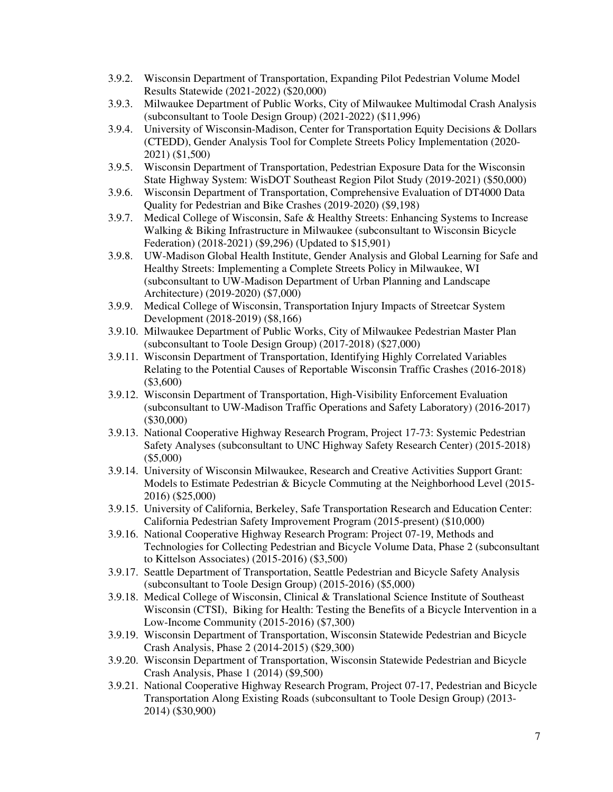- 3.9.2. Wisconsin Department of Transportation, Expanding Pilot Pedestrian Volume Model Results Statewide (2021-2022) (\$20,000)
- 3.9.3. Milwaukee Department of Public Works, City of Milwaukee Multimodal Crash Analysis (subconsultant to Toole Design Group) (2021-2022) (\$11,996)
- 3.9.4. University of Wisconsin-Madison, Center for Transportation Equity Decisions & Dollars (CTEDD), Gender Analysis Tool for Complete Streets Policy Implementation (2020- 2021) (\$1,500)
- 3.9.5. Wisconsin Department of Transportation, Pedestrian Exposure Data for the Wisconsin State Highway System: WisDOT Southeast Region Pilot Study (2019-2021) (\$50,000)
- 3.9.6. Wisconsin Department of Transportation, Comprehensive Evaluation of DT4000 Data Quality for Pedestrian and Bike Crashes (2019-2020) (\$9,198)
- 3.9.7. Medical College of Wisconsin, Safe & Healthy Streets: Enhancing Systems to Increase Walking & Biking Infrastructure in Milwaukee (subconsultant to Wisconsin Bicycle Federation) (2018-2021) (\$9,296) (Updated to \$15,901)
- 3.9.8. UW-Madison Global Health Institute, Gender Analysis and Global Learning for Safe and Healthy Streets: Implementing a Complete Streets Policy in Milwaukee, WI (subconsultant to UW-Madison Department of Urban Planning and Landscape Architecture) (2019-2020) (\$7,000)
- 3.9.9. Medical College of Wisconsin, Transportation Injury Impacts of Streetcar System Development (2018-2019) (\$8,166)
- 3.9.10. Milwaukee Department of Public Works, City of Milwaukee Pedestrian Master Plan (subconsultant to Toole Design Group) (2017-2018) (\$27,000)
- 3.9.11. Wisconsin Department of Transportation, Identifying Highly Correlated Variables Relating to the Potential Causes of Reportable Wisconsin Traffic Crashes (2016-2018) (\$3,600)
- 3.9.12. Wisconsin Department of Transportation, High-Visibility Enforcement Evaluation (subconsultant to UW-Madison Traffic Operations and Safety Laboratory) (2016-2017) (\$30,000)
- 3.9.13. National Cooperative Highway Research Program, Project 17-73: Systemic Pedestrian Safety Analyses (subconsultant to UNC Highway Safety Research Center) (2015-2018) (\$5,000)
- 3.9.14. University of Wisconsin Milwaukee, Research and Creative Activities Support Grant: Models to Estimate Pedestrian & Bicycle Commuting at the Neighborhood Level (2015- 2016) (\$25,000)
- 3.9.15. University of California, Berkeley, Safe Transportation Research and Education Center: California Pedestrian Safety Improvement Program (2015-present) (\$10,000)
- 3.9.16. National Cooperative Highway Research Program: Project 07-19, Methods and Technologies for Collecting Pedestrian and Bicycle Volume Data, Phase 2 (subconsultant to Kittelson Associates) (2015-2016) (\$3,500)
- 3.9.17. Seattle Department of Transportation, Seattle Pedestrian and Bicycle Safety Analysis (subconsultant to Toole Design Group) (2015-2016) (\$5,000)
- 3.9.18. Medical College of Wisconsin, Clinical & Translational Science Institute of Southeast Wisconsin (CTSI), Biking for Health: Testing the Benefits of a Bicycle Intervention in a Low-Income Community (2015-2016) (\$7,300)
- 3.9.19. Wisconsin Department of Transportation, Wisconsin Statewide Pedestrian and Bicycle Crash Analysis, Phase 2 (2014-2015) (\$29,300)
- 3.9.20. Wisconsin Department of Transportation, Wisconsin Statewide Pedestrian and Bicycle Crash Analysis, Phase 1 (2014) (\$9,500)
- 3.9.21. National Cooperative Highway Research Program, Project 07-17, Pedestrian and Bicycle Transportation Along Existing Roads (subconsultant to Toole Design Group) (2013- 2014) (\$30,900)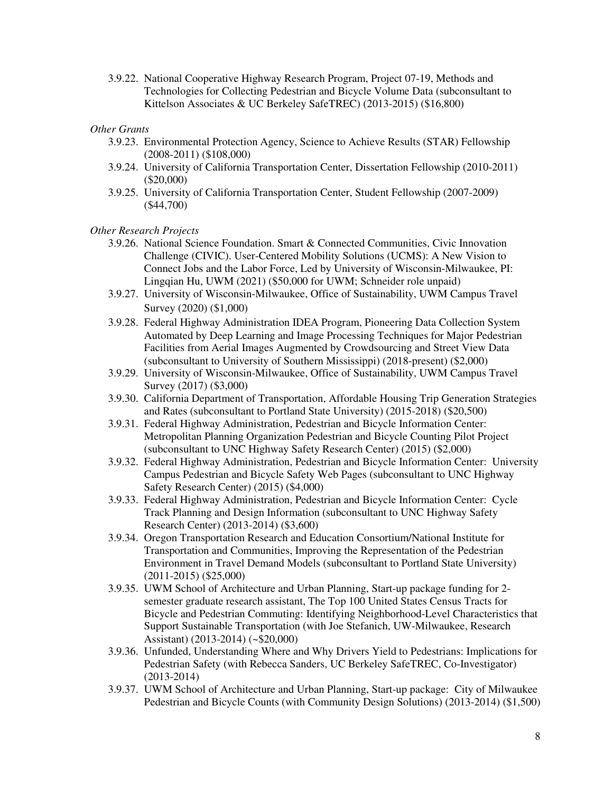3.9.22. National Cooperative Highway Research Program, Project 07-19, Methods and Technologies for Collecting Pedestrian and Bicycle Volume Data (subconsultant to Kittelson Associates & UC Berkeley SafeTREC) (2013-2015) (\$16,800)

#### *Other Grants*

- 3.9.23. Environmental Protection Agency, Science to Achieve Results (STAR) Fellowship (2008-2011) (\$108,000)
- 3.9.24. University of California Transportation Center, Dissertation Fellowship (2010-2011) (\$20,000)
- 3.9.25. University of California Transportation Center, Student Fellowship (2007-2009) (\$44,700)

### *Other Research Projects*

- 3.9.26. National Science Foundation. Smart & Connected Communities, Civic Innovation Challenge (CIVIC). User-Centered Mobility Solutions (UCMS): A New Vision to Connect Jobs and the Labor Force, Led by University of Wisconsin-Milwaukee, PI: Lingqian Hu, UWM (2021) (\$50,000 for UWM; Schneider role unpaid)
- 3.9.27. University of Wisconsin-Milwaukee, Office of Sustainability, UWM Campus Travel Survey (2020) (\$1,000)
- 3.9.28. Federal Highway Administration IDEA Program, Pioneering Data Collection System Automated by Deep Learning and Image Processing Techniques for Major Pedestrian Facilities from Aerial Images Augmented by Crowdsourcing and Street View Data (subconsultant to University of Southern Mississippi) (2018-present) (\$2,000)
- 3.9.29. University of Wisconsin-Milwaukee, Office of Sustainability, UWM Campus Travel Survey (2017) (\$3,000)
- 3.9.30. California Department of Transportation, Affordable Housing Trip Generation Strategies and Rates (subconsultant to Portland State University) (2015-2018) (\$20,500)
- 3.9.31. Federal Highway Administration, Pedestrian and Bicycle Information Center: Metropolitan Planning Organization Pedestrian and Bicycle Counting Pilot Project (subconsultant to UNC Highway Safety Research Center) (2015) (\$2,000)
- 3.9.32. Federal Highway Administration, Pedestrian and Bicycle Information Center: University Campus Pedestrian and Bicycle Safety Web Pages (subconsultant to UNC Highway Safety Research Center) (2015) (\$4,000)
- 3.9.33. Federal Highway Administration, Pedestrian and Bicycle Information Center: Cycle Track Planning and Design Information (subconsultant to UNC Highway Safety Research Center) (2013-2014) (\$3,600)
- 3.9.34. Oregon Transportation Research and Education Consortium/National Institute for Transportation and Communities, Improving the Representation of the Pedestrian Environment in Travel Demand Models (subconsultant to Portland State University) (2011-2015) (\$25,000)
- 3.9.35. UWM School of Architecture and Urban Planning, Start-up package funding for 2 semester graduate research assistant, The Top 100 United States Census Tracts for Bicycle and Pedestrian Commuting: Identifying Neighborhood-Level Characteristics that Support Sustainable Transportation (with Joe Stefanich, UW-Milwaukee, Research Assistant) (2013-2014) (~\$20,000)
- 3.9.36. Unfunded, Understanding Where and Why Drivers Yield to Pedestrians: Implications for Pedestrian Safety (with Rebecca Sanders, UC Berkeley SafeTREC, Co-Investigator) (2013-2014)
- 3.9.37. UWM School of Architecture and Urban Planning, Start-up package: City of Milwaukee Pedestrian and Bicycle Counts (with Community Design Solutions) (2013-2014) (\$1,500)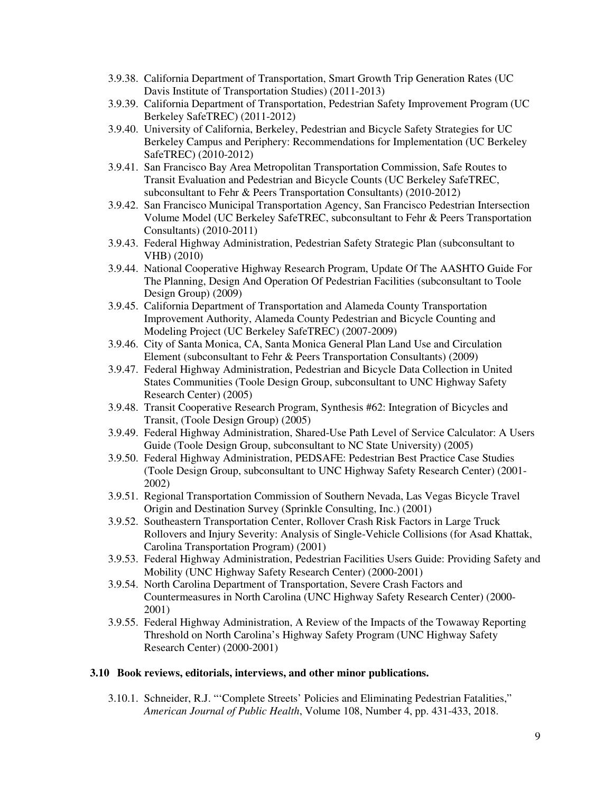- 3.9.38. California Department of Transportation, Smart Growth Trip Generation Rates (UC Davis Institute of Transportation Studies) (2011-2013)
- 3.9.39. California Department of Transportation, Pedestrian Safety Improvement Program (UC Berkeley SafeTREC) (2011-2012)
- 3.9.40. University of California, Berkeley, Pedestrian and Bicycle Safety Strategies for UC Berkeley Campus and Periphery: Recommendations for Implementation (UC Berkeley SafeTREC) (2010-2012)
- 3.9.41. San Francisco Bay Area Metropolitan Transportation Commission, Safe Routes to Transit Evaluation and Pedestrian and Bicycle Counts (UC Berkeley SafeTREC, subconsultant to Fehr & Peers Transportation Consultants) (2010-2012)
- 3.9.42. San Francisco Municipal Transportation Agency, San Francisco Pedestrian Intersection Volume Model (UC Berkeley SafeTREC, subconsultant to Fehr & Peers Transportation Consultants) (2010-2011)
- 3.9.43. Federal Highway Administration, Pedestrian Safety Strategic Plan (subconsultant to VHB) (2010)
- 3.9.44. National Cooperative Highway Research Program, Update Of The AASHTO Guide For The Planning, Design And Operation Of Pedestrian Facilities (subconsultant to Toole Design Group) (2009)
- 3.9.45. California Department of Transportation and Alameda County Transportation Improvement Authority, Alameda County Pedestrian and Bicycle Counting and Modeling Project (UC Berkeley SafeTREC) (2007-2009)
- 3.9.46. City of Santa Monica, CA, Santa Monica General Plan Land Use and Circulation Element (subconsultant to Fehr & Peers Transportation Consultants) (2009)
- 3.9.47. Federal Highway Administration, Pedestrian and Bicycle Data Collection in United States Communities (Toole Design Group, subconsultant to UNC Highway Safety Research Center) (2005)
- 3.9.48. Transit Cooperative Research Program, Synthesis #62: Integration of Bicycles and Transit, (Toole Design Group) (2005)
- 3.9.49. Federal Highway Administration, Shared-Use Path Level of Service Calculator: A Users Guide (Toole Design Group, subconsultant to NC State University) (2005)
- 3.9.50. Federal Highway Administration, PEDSAFE: Pedestrian Best Practice Case Studies (Toole Design Group, subconsultant to UNC Highway Safety Research Center) (2001- 2002)
- 3.9.51. Regional Transportation Commission of Southern Nevada, Las Vegas Bicycle Travel Origin and Destination Survey (Sprinkle Consulting, Inc.) (2001)
- 3.9.52. Southeastern Transportation Center, Rollover Crash Risk Factors in Large Truck Rollovers and Injury Severity: Analysis of Single-Vehicle Collisions (for Asad Khattak, Carolina Transportation Program) (2001)
- 3.9.53. Federal Highway Administration, Pedestrian Facilities Users Guide: Providing Safety and Mobility (UNC Highway Safety Research Center) (2000-2001)
- 3.9.54. North Carolina Department of Transportation, Severe Crash Factors and Countermeasures in North Carolina (UNC Highway Safety Research Center) (2000- 2001)
- 3.9.55. Federal Highway Administration, A Review of the Impacts of the Towaway Reporting Threshold on North Carolina's Highway Safety Program (UNC Highway Safety Research Center) (2000-2001)

#### **3.10 Book reviews, editorials, interviews, and other minor publications.**

3.10.1. Schneider, R.J. "'Complete Streets' Policies and Eliminating Pedestrian Fatalities," *American Journal of Public Health*, Volume 108, Number 4, pp. 431-433, 2018.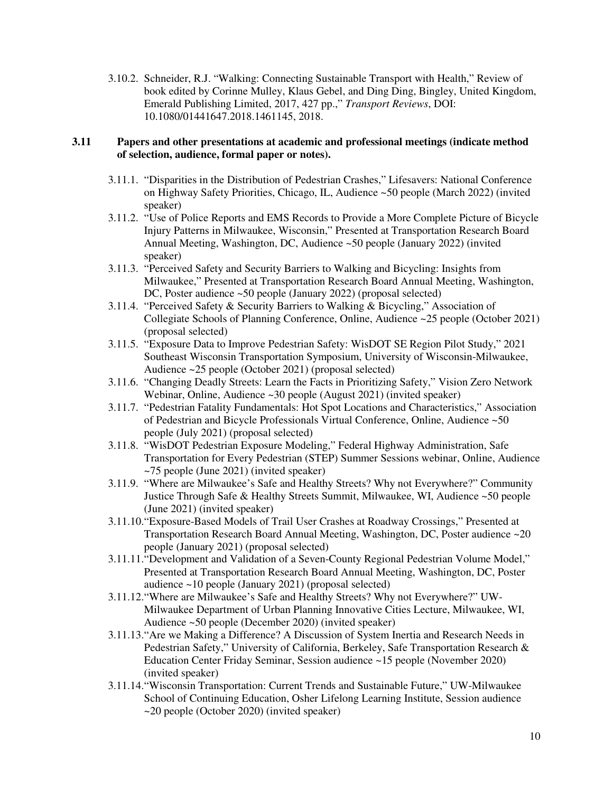3.10.2. Schneider, R.J. "Walking: Connecting Sustainable Transport with Health," Review of book edited by Corinne Mulley, Klaus Gebel, and Ding Ding, Bingley, United Kingdom, Emerald Publishing Limited, 2017, 427 pp.," *Transport Reviews*, DOI: 10.1080/01441647.2018.1461145, 2018.

### **3.11 Papers and other presentations at academic and professional meetings (indicate method of selection, audience, formal paper or notes).**

- 3.11.1. "Disparities in the Distribution of Pedestrian Crashes," Lifesavers: National Conference on Highway Safety Priorities, Chicago, IL, Audience ~50 people (March 2022) (invited speaker)
- 3.11.2. "Use of Police Reports and EMS Records to Provide a More Complete Picture of Bicycle Injury Patterns in Milwaukee, Wisconsin," Presented at Transportation Research Board Annual Meeting, Washington, DC, Audience ~50 people (January 2022) (invited speaker)
- 3.11.3. "Perceived Safety and Security Barriers to Walking and Bicycling: Insights from Milwaukee," Presented at Transportation Research Board Annual Meeting, Washington, DC, Poster audience ~50 people (January 2022) (proposal selected)
- 3.11.4. "Perceived Safety & Security Barriers to Walking & Bicycling," Association of Collegiate Schools of Planning Conference, Online, Audience ~25 people (October 2021) (proposal selected)
- 3.11.5. "Exposure Data to Improve Pedestrian Safety: WisDOT SE Region Pilot Study," 2021 Southeast Wisconsin Transportation Symposium, University of Wisconsin-Milwaukee, Audience ~25 people (October 2021) (proposal selected)
- 3.11.6. "Changing Deadly Streets: Learn the Facts in Prioritizing Safety," Vision Zero Network Webinar, Online, Audience ~30 people (August 2021) (invited speaker)
- 3.11.7. "Pedestrian Fatality Fundamentals: Hot Spot Locations and Characteristics," Association of Pedestrian and Bicycle Professionals Virtual Conference, Online, Audience ~50 people (July 2021) (proposal selected)
- 3.11.8. "WisDOT Pedestrian Exposure Modeling," Federal Highway Administration, Safe Transportation for Every Pedestrian (STEP) Summer Sessions webinar, Online, Audience ~75 people (June 2021) (invited speaker)
- 3.11.9. "Where are Milwaukee's Safe and Healthy Streets? Why not Everywhere?" Community Justice Through Safe & Healthy Streets Summit, Milwaukee, WI, Audience ~50 people (June 2021) (invited speaker)
- 3.11.10."Exposure-Based Models of Trail User Crashes at Roadway Crossings," Presented at Transportation Research Board Annual Meeting, Washington, DC, Poster audience ~20 people (January 2021) (proposal selected)
- 3.11.11."Development and Validation of a Seven-County Regional Pedestrian Volume Model," Presented at Transportation Research Board Annual Meeting, Washington, DC, Poster audience ~10 people (January 2021) (proposal selected)
- 3.11.12."Where are Milwaukee's Safe and Healthy Streets? Why not Everywhere?" UW-Milwaukee Department of Urban Planning Innovative Cities Lecture, Milwaukee, WI, Audience ~50 people (December 2020) (invited speaker)
- 3.11.13."Are we Making a Difference? A Discussion of System Inertia and Research Needs in Pedestrian Safety," University of California, Berkeley, Safe Transportation Research & Education Center Friday Seminar, Session audience ~15 people (November 2020) (invited speaker)
- 3.11.14."Wisconsin Transportation: Current Trends and Sustainable Future," UW-Milwaukee School of Continuing Education, Osher Lifelong Learning Institute, Session audience ~20 people (October 2020) (invited speaker)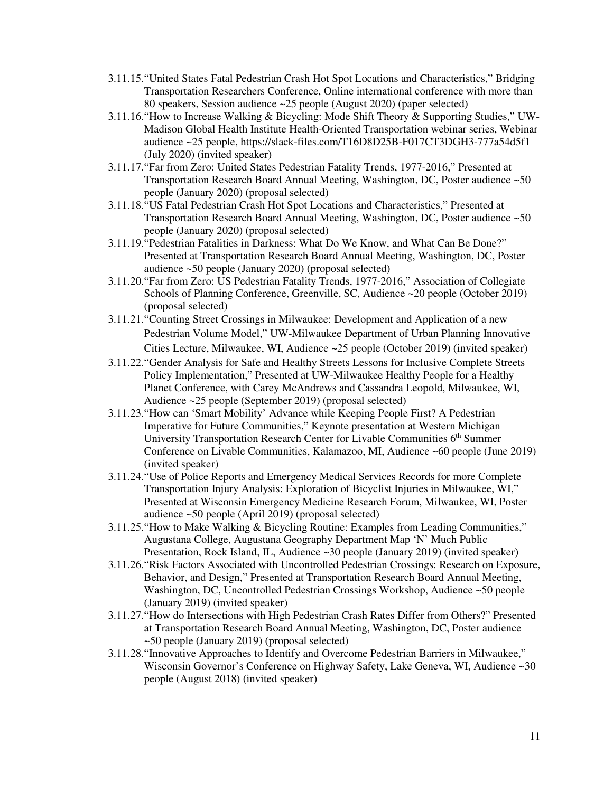- 3.11.15."United States Fatal Pedestrian Crash Hot Spot Locations and Characteristics," Bridging Transportation Researchers Conference, Online international conference with more than 80 speakers, Session audience ~25 people (August 2020) (paper selected)
- 3.11.16."How to Increase Walking & Bicycling: Mode Shift Theory & Supporting Studies," UW-Madison Global Health Institute Health-Oriented Transportation webinar series, Webinar audience ~25 people, https://slack-files.com/T16D8D25B-F017CT3DGH3-777a54d5f1 (July 2020) (invited speaker)
- 3.11.17."Far from Zero: United States Pedestrian Fatality Trends, 1977-2016," Presented at Transportation Research Board Annual Meeting, Washington, DC, Poster audience ~50 people (January 2020) (proposal selected)
- 3.11.18."US Fatal Pedestrian Crash Hot Spot Locations and Characteristics," Presented at Transportation Research Board Annual Meeting, Washington, DC, Poster audience ~50 people (January 2020) (proposal selected)
- 3.11.19."Pedestrian Fatalities in Darkness: What Do We Know, and What Can Be Done?" Presented at Transportation Research Board Annual Meeting, Washington, DC, Poster audience ~50 people (January 2020) (proposal selected)
- 3.11.20."Far from Zero: US Pedestrian Fatality Trends, 1977-2016," Association of Collegiate Schools of Planning Conference, Greenville, SC, Audience ~20 people (October 2019) (proposal selected)
- 3.11.21."Counting Street Crossings in Milwaukee: Development and Application of a new Pedestrian Volume Model," UW-Milwaukee Department of Urban Planning Innovative Cities Lecture, Milwaukee, WI, Audience ~25 people (October 2019) (invited speaker)
- 3.11.22."Gender Analysis for Safe and Healthy Streets Lessons for Inclusive Complete Streets Policy Implementation," Presented at UW-Milwaukee Healthy People for a Healthy Planet Conference, with Carey McAndrews and Cassandra Leopold, Milwaukee, WI, Audience ~25 people (September 2019) (proposal selected)
- 3.11.23."How can 'Smart Mobility' Advance while Keeping People First? A Pedestrian Imperative for Future Communities," Keynote presentation at Western Michigan University Transportation Research Center for Livable Communities 6<sup>th</sup> Summer Conference on Livable Communities, Kalamazoo, MI, Audience ~60 people (June 2019) (invited speaker)
- 3.11.24."Use of Police Reports and Emergency Medical Services Records for more Complete Transportation Injury Analysis: Exploration of Bicyclist Injuries in Milwaukee, WI," Presented at Wisconsin Emergency Medicine Research Forum, Milwaukee, WI, Poster audience ~50 people (April 2019) (proposal selected)
- 3.11.25."How to Make Walking & Bicycling Routine: Examples from Leading Communities," Augustana College, Augustana Geography Department Map 'N' Much Public Presentation, Rock Island, IL, Audience ~30 people (January 2019) (invited speaker)
- 3.11.26."Risk Factors Associated with Uncontrolled Pedestrian Crossings: Research on Exposure, Behavior, and Design," Presented at Transportation Research Board Annual Meeting, Washington, DC, Uncontrolled Pedestrian Crossings Workshop, Audience ~50 people (January 2019) (invited speaker)
- 3.11.27."How do Intersections with High Pedestrian Crash Rates Differ from Others?" Presented at Transportation Research Board Annual Meeting, Washington, DC, Poster audience ~50 people (January 2019) (proposal selected)
- 3.11.28."Innovative Approaches to Identify and Overcome Pedestrian Barriers in Milwaukee," Wisconsin Governor's Conference on Highway Safety, Lake Geneva, WI, Audience ~30 people (August 2018) (invited speaker)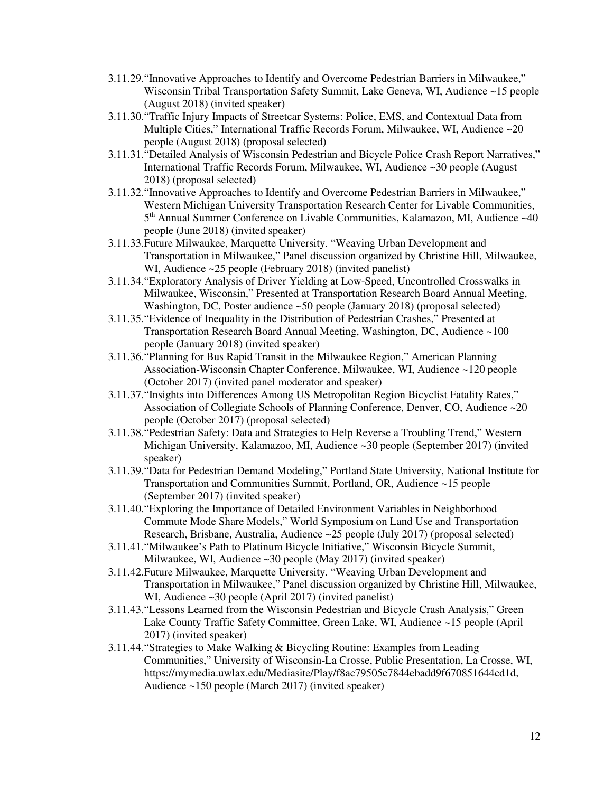- 3.11.29."Innovative Approaches to Identify and Overcome Pedestrian Barriers in Milwaukee," Wisconsin Tribal Transportation Safety Summit, Lake Geneva, WI, Audience ~15 people (August 2018) (invited speaker)
- 3.11.30."Traffic Injury Impacts of Streetcar Systems: Police, EMS, and Contextual Data from Multiple Cities," International Traffic Records Forum, Milwaukee, WI, Audience ~20 people (August 2018) (proposal selected)
- 3.11.31."Detailed Analysis of Wisconsin Pedestrian and Bicycle Police Crash Report Narratives," International Traffic Records Forum, Milwaukee, WI, Audience ~30 people (August 2018) (proposal selected)
- 3.11.32."Innovative Approaches to Identify and Overcome Pedestrian Barriers in Milwaukee," Western Michigan University Transportation Research Center for Livable Communities, 5 th Annual Summer Conference on Livable Communities, Kalamazoo, MI, Audience ~40 people (June 2018) (invited speaker)
- 3.11.33.Future Milwaukee, Marquette University. "Weaving Urban Development and Transportation in Milwaukee," Panel discussion organized by Christine Hill, Milwaukee, WI, Audience ~25 people (February 2018) (invited panelist)
- 3.11.34."Exploratory Analysis of Driver Yielding at Low-Speed, Uncontrolled Crosswalks in Milwaukee, Wisconsin," Presented at Transportation Research Board Annual Meeting, Washington, DC, Poster audience ~50 people (January 2018) (proposal selected)
- 3.11.35."Evidence of Inequality in the Distribution of Pedestrian Crashes," Presented at Transportation Research Board Annual Meeting, Washington, DC, Audience ~100 people (January 2018) (invited speaker)
- 3.11.36."Planning for Bus Rapid Transit in the Milwaukee Region," American Planning Association-Wisconsin Chapter Conference, Milwaukee, WI, Audience ~120 people (October 2017) (invited panel moderator and speaker)
- 3.11.37."Insights into Differences Among US Metropolitan Region Bicyclist Fatality Rates," Association of Collegiate Schools of Planning Conference, Denver, CO, Audience ~20 people (October 2017) (proposal selected)
- 3.11.38."Pedestrian Safety: Data and Strategies to Help Reverse a Troubling Trend," Western Michigan University, Kalamazoo, MI, Audience ~30 people (September 2017) (invited speaker)
- 3.11.39."Data for Pedestrian Demand Modeling," Portland State University, National Institute for Transportation and Communities Summit, Portland, OR, Audience ~15 people (September 2017) (invited speaker)
- 3.11.40."Exploring the Importance of Detailed Environment Variables in Neighborhood Commute Mode Share Models," World Symposium on Land Use and Transportation Research, Brisbane, Australia, Audience ~25 people (July 2017) (proposal selected)
- 3.11.41."Milwaukee's Path to Platinum Bicycle Initiative," Wisconsin Bicycle Summit, Milwaukee, WI, Audience ~30 people (May 2017) (invited speaker)
- 3.11.42.Future Milwaukee, Marquette University. "Weaving Urban Development and Transportation in Milwaukee," Panel discussion organized by Christine Hill, Milwaukee, WI, Audience ~30 people (April 2017) (invited panelist)
- 3.11.43."Lessons Learned from the Wisconsin Pedestrian and Bicycle Crash Analysis," Green Lake County Traffic Safety Committee, Green Lake, WI, Audience ~15 people (April 2017) (invited speaker)
- 3.11.44."Strategies to Make Walking & Bicycling Routine: Examples from Leading Communities," University of Wisconsin-La Crosse, Public Presentation, La Crosse, WI, https://mymedia.uwlax.edu/Mediasite/Play/f8ac79505c7844ebadd9f670851644cd1d, Audience ~150 people (March 2017) (invited speaker)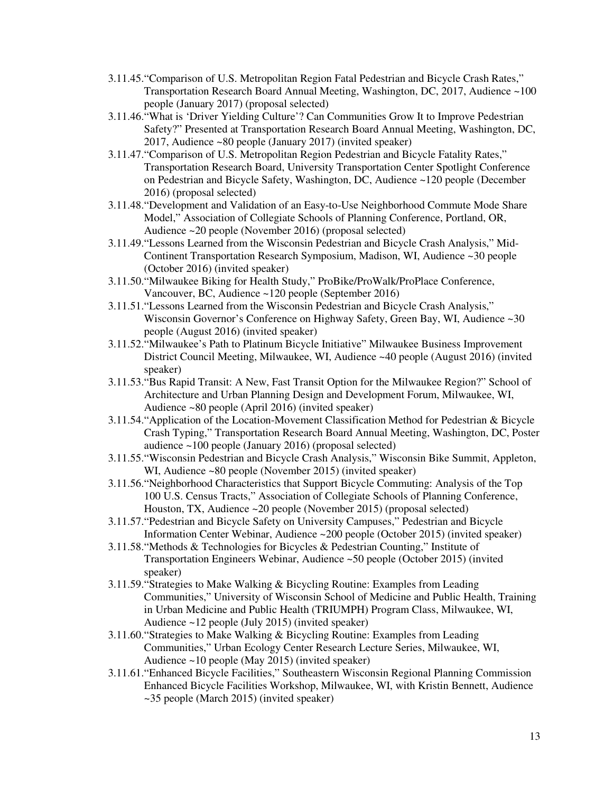- 3.11.45."Comparison of U.S. Metropolitan Region Fatal Pedestrian and Bicycle Crash Rates," Transportation Research Board Annual Meeting, Washington, DC, 2017, Audience ~100 people (January 2017) (proposal selected)
- 3.11.46."What is 'Driver Yielding Culture'? Can Communities Grow It to Improve Pedestrian Safety?" Presented at Transportation Research Board Annual Meeting, Washington, DC, 2017, Audience ~80 people (January 2017) (invited speaker)
- 3.11.47."Comparison of U.S. Metropolitan Region Pedestrian and Bicycle Fatality Rates," Transportation Research Board, University Transportation Center Spotlight Conference on Pedestrian and Bicycle Safety, Washington, DC, Audience ~120 people (December 2016) (proposal selected)
- 3.11.48."Development and Validation of an Easy-to-Use Neighborhood Commute Mode Share Model," Association of Collegiate Schools of Planning Conference, Portland, OR, Audience ~20 people (November 2016) (proposal selected)
- 3.11.49."Lessons Learned from the Wisconsin Pedestrian and Bicycle Crash Analysis," Mid-Continent Transportation Research Symposium, Madison, WI, Audience ~30 people (October 2016) (invited speaker)
- 3.11.50."Milwaukee Biking for Health Study," ProBike/ProWalk/ProPlace Conference, Vancouver, BC, Audience ~120 people (September 2016)
- 3.11.51."Lessons Learned from the Wisconsin Pedestrian and Bicycle Crash Analysis," Wisconsin Governor's Conference on Highway Safety, Green Bay, WI, Audience ~30 people (August 2016) (invited speaker)
- 3.11.52."Milwaukee's Path to Platinum Bicycle Initiative" Milwaukee Business Improvement District Council Meeting, Milwaukee, WI, Audience ~40 people (August 2016) (invited speaker)
- 3.11.53."Bus Rapid Transit: A New, Fast Transit Option for the Milwaukee Region?" School of Architecture and Urban Planning Design and Development Forum, Milwaukee, WI, Audience ~80 people (April 2016) (invited speaker)
- 3.11.54."Application of the Location-Movement Classification Method for Pedestrian & Bicycle Crash Typing," Transportation Research Board Annual Meeting, Washington, DC, Poster audience ~100 people (January 2016) (proposal selected)
- 3.11.55."Wisconsin Pedestrian and Bicycle Crash Analysis," Wisconsin Bike Summit, Appleton, WI, Audience ~80 people (November 2015) (invited speaker)
- 3.11.56."Neighborhood Characteristics that Support Bicycle Commuting: Analysis of the Top 100 U.S. Census Tracts," Association of Collegiate Schools of Planning Conference, Houston, TX, Audience ~20 people (November 2015) (proposal selected)
- 3.11.57."Pedestrian and Bicycle Safety on University Campuses," Pedestrian and Bicycle Information Center Webinar, Audience ~200 people (October 2015) (invited speaker)
- 3.11.58."Methods & Technologies for Bicycles & Pedestrian Counting," Institute of Transportation Engineers Webinar, Audience ~50 people (October 2015) (invited speaker)
- 3.11.59."Strategies to Make Walking & Bicycling Routine: Examples from Leading Communities," University of Wisconsin School of Medicine and Public Health, Training in Urban Medicine and Public Health (TRIUMPH) Program Class, Milwaukee, WI, Audience ~12 people (July 2015) (invited speaker)
- 3.11.60."Strategies to Make Walking & Bicycling Routine: Examples from Leading Communities," Urban Ecology Center Research Lecture Series, Milwaukee, WI, Audience ~10 people (May 2015) (invited speaker)
- 3.11.61."Enhanced Bicycle Facilities," Southeastern Wisconsin Regional Planning Commission Enhanced Bicycle Facilities Workshop, Milwaukee, WI, with Kristin Bennett, Audience ~35 people (March 2015) (invited speaker)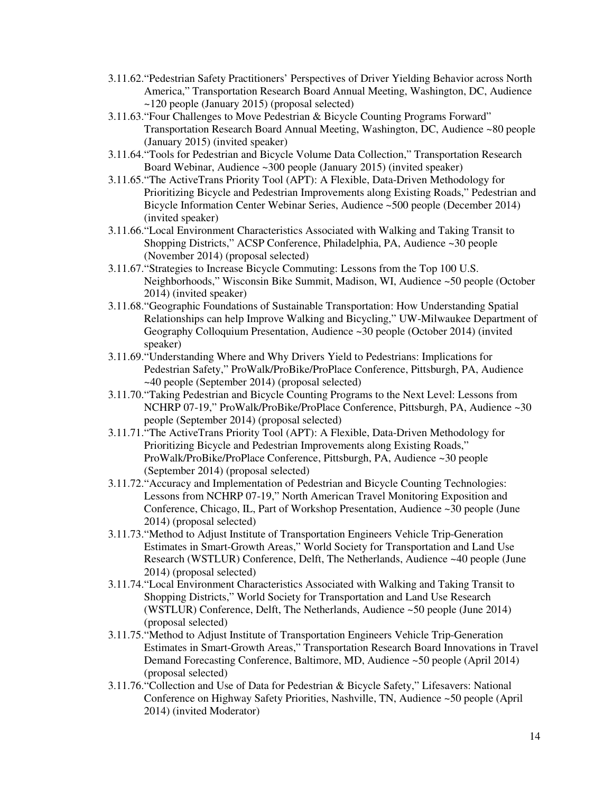- 3.11.62."Pedestrian Safety Practitioners' Perspectives of Driver Yielding Behavior across North America," Transportation Research Board Annual Meeting, Washington, DC, Audience ~120 people (January 2015) (proposal selected)
- 3.11.63."Four Challenges to Move Pedestrian & Bicycle Counting Programs Forward" Transportation Research Board Annual Meeting, Washington, DC, Audience ~80 people (January 2015) (invited speaker)
- 3.11.64."Tools for Pedestrian and Bicycle Volume Data Collection," Transportation Research Board Webinar, Audience ~300 people (January 2015) (invited speaker)
- 3.11.65."The ActiveTrans Priority Tool (APT): A Flexible, Data-Driven Methodology for Prioritizing Bicycle and Pedestrian Improvements along Existing Roads," Pedestrian and Bicycle Information Center Webinar Series, Audience ~500 people (December 2014) (invited speaker)
- 3.11.66."Local Environment Characteristics Associated with Walking and Taking Transit to Shopping Districts," ACSP Conference, Philadelphia, PA, Audience ~30 people (November 2014) (proposal selected)
- 3.11.67."Strategies to Increase Bicycle Commuting: Lessons from the Top 100 U.S. Neighborhoods," Wisconsin Bike Summit, Madison, WI, Audience ~50 people (October 2014) (invited speaker)
- 3.11.68."Geographic Foundations of Sustainable Transportation: How Understanding Spatial Relationships can help Improve Walking and Bicycling," UW-Milwaukee Department of Geography Colloquium Presentation, Audience ~30 people (October 2014) (invited speaker)
- 3.11.69."Understanding Where and Why Drivers Yield to Pedestrians: Implications for Pedestrian Safety," ProWalk/ProBike/ProPlace Conference, Pittsburgh, PA, Audience ~40 people (September 2014) (proposal selected)
- 3.11.70."Taking Pedestrian and Bicycle Counting Programs to the Next Level: Lessons from NCHRP 07-19," ProWalk/ProBike/ProPlace Conference, Pittsburgh, PA, Audience ~30 people (September 2014) (proposal selected)
- 3.11.71."The ActiveTrans Priority Tool (APT): A Flexible, Data-Driven Methodology for Prioritizing Bicycle and Pedestrian Improvements along Existing Roads," ProWalk/ProBike/ProPlace Conference, Pittsburgh, PA, Audience ~30 people (September 2014) (proposal selected)
- 3.11.72."Accuracy and Implementation of Pedestrian and Bicycle Counting Technologies: Lessons from NCHRP 07-19," North American Travel Monitoring Exposition and Conference, Chicago, IL, Part of Workshop Presentation, Audience ~30 people (June 2014) (proposal selected)
- 3.11.73."Method to Adjust Institute of Transportation Engineers Vehicle Trip-Generation Estimates in Smart-Growth Areas," World Society for Transportation and Land Use Research (WSTLUR) Conference, Delft, The Netherlands, Audience ~40 people (June 2014) (proposal selected)
- 3.11.74."Local Environment Characteristics Associated with Walking and Taking Transit to Shopping Districts," World Society for Transportation and Land Use Research (WSTLUR) Conference, Delft, The Netherlands, Audience ~50 people (June 2014) (proposal selected)
- 3.11.75."Method to Adjust Institute of Transportation Engineers Vehicle Trip-Generation Estimates in Smart-Growth Areas," Transportation Research Board Innovations in Travel Demand Forecasting Conference, Baltimore, MD, Audience ~50 people (April 2014) (proposal selected)
- 3.11.76."Collection and Use of Data for Pedestrian & Bicycle Safety," Lifesavers: National Conference on Highway Safety Priorities, Nashville, TN, Audience ~50 people (April 2014) (invited Moderator)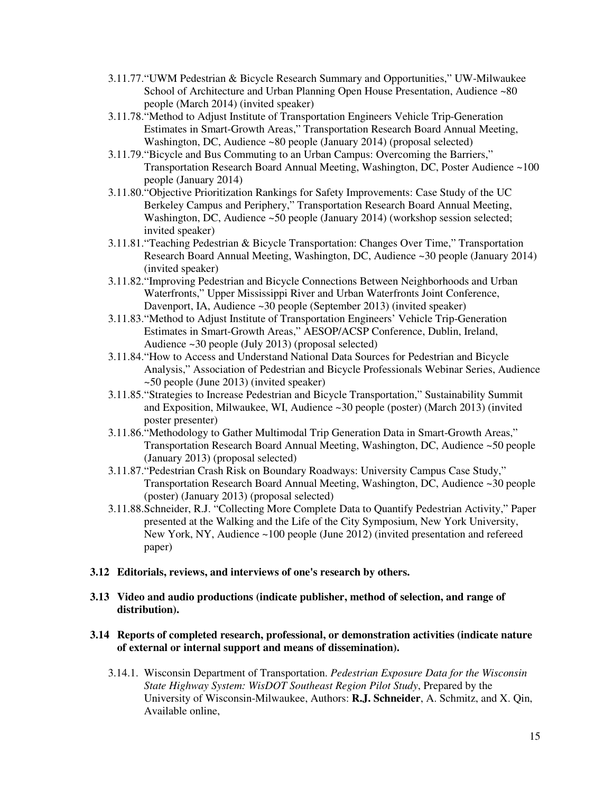- 3.11.77."UWM Pedestrian & Bicycle Research Summary and Opportunities," UW-Milwaukee School of Architecture and Urban Planning Open House Presentation, Audience ~80 people (March 2014) (invited speaker)
- 3.11.78."Method to Adjust Institute of Transportation Engineers Vehicle Trip-Generation Estimates in Smart-Growth Areas," Transportation Research Board Annual Meeting, Washington, DC, Audience ~80 people (January 2014) (proposal selected)
- 3.11.79."Bicycle and Bus Commuting to an Urban Campus: Overcoming the Barriers," Transportation Research Board Annual Meeting, Washington, DC, Poster Audience ~100 people (January 2014)
- 3.11.80."Objective Prioritization Rankings for Safety Improvements: Case Study of the UC Berkeley Campus and Periphery," Transportation Research Board Annual Meeting, Washington, DC, Audience ~50 people (January 2014) (workshop session selected; invited speaker)
- 3.11.81."Teaching Pedestrian & Bicycle Transportation: Changes Over Time," Transportation Research Board Annual Meeting, Washington, DC, Audience ~30 people (January 2014) (invited speaker)
- 3.11.82."Improving Pedestrian and Bicycle Connections Between Neighborhoods and Urban Waterfronts," Upper Mississippi River and Urban Waterfronts Joint Conference, Davenport, IA, Audience ~30 people (September 2013) (invited speaker)
- 3.11.83."Method to Adjust Institute of Transportation Engineers' Vehicle Trip-Generation Estimates in Smart-Growth Areas," AESOP/ACSP Conference, Dublin, Ireland, Audience ~30 people (July 2013) (proposal selected)
- 3.11.84."How to Access and Understand National Data Sources for Pedestrian and Bicycle Analysis," Association of Pedestrian and Bicycle Professionals Webinar Series, Audience ~50 people (June 2013) (invited speaker)
- 3.11.85."Strategies to Increase Pedestrian and Bicycle Transportation," Sustainability Summit and Exposition, Milwaukee, WI, Audience ~30 people (poster) (March 2013) (invited poster presenter)
- 3.11.86."Methodology to Gather Multimodal Trip Generation Data in Smart-Growth Areas," Transportation Research Board Annual Meeting, Washington, DC, Audience ~50 people (January 2013) (proposal selected)
- 3.11.87."Pedestrian Crash Risk on Boundary Roadways: University Campus Case Study," Transportation Research Board Annual Meeting, Washington, DC, Audience ~30 people (poster) (January 2013) (proposal selected)
- 3.11.88.Schneider, R.J. "Collecting More Complete Data to Quantify Pedestrian Activity," Paper presented at the Walking and the Life of the City Symposium, New York University, New York, NY, Audience ~100 people (June 2012) (invited presentation and refereed paper)

### **3.12 Editorials, reviews, and interviews of one's research by others.**

 **3.13 Video and audio productions (indicate publisher, method of selection, and range of distribution).** 

### **3.14 Reports of completed research, professional, or demonstration activities (indicate nature of external or internal support and means of dissemination).**

3.14.1. Wisconsin Department of Transportation. *Pedestrian Exposure Data for the Wisconsin State Highway System: WisDOT Southeast Region Pilot Study*, Prepared by the University of Wisconsin-Milwaukee, Authors: **R.J. Schneider**, A. Schmitz, and X. Qin, Available online,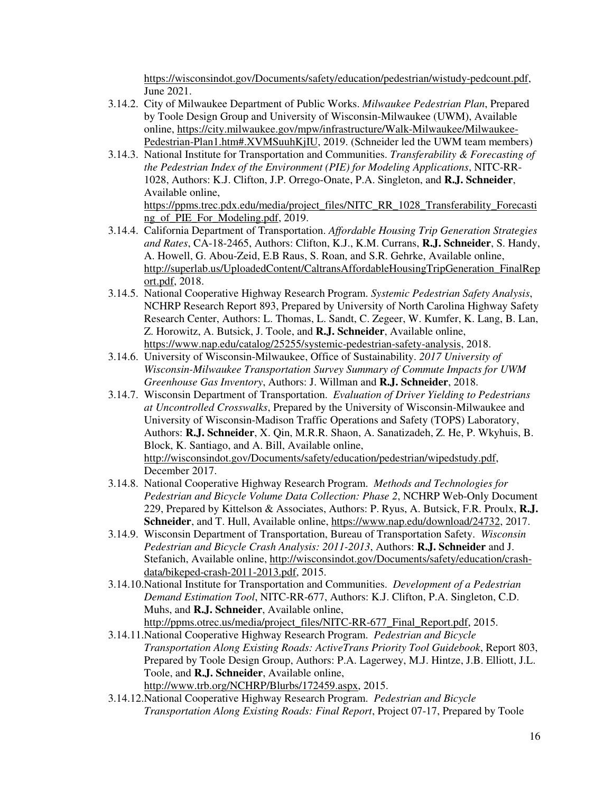https://wisconsindot.gov/Documents/safety/education/pedestrian/wistudy-pedcount.pdf, June 2021.

- 3.14.2. City of Milwaukee Department of Public Works. *Milwaukee Pedestrian Plan*, Prepared by Toole Design Group and University of Wisconsin-Milwaukee (UWM), Available online, https://city.milwaukee.gov/mpw/infrastructure/Walk-Milwaukee/Milwaukee-Pedestrian-Plan1.htm#.XVMSuuhKjIU, 2019. (Schneider led the UWM team members)
- 3.14.3. National Institute for Transportation and Communities. *Transferability & Forecasting of the Pedestrian Index of the Environment (PIE) for Modeling Applications*, NITC-RR-1028, Authors: K.J. Clifton, J.P. Orrego-Onate, P.A. Singleton, and **R.J. Schneider**, Available online, https://ppms.trec.pdx.edu/media/project\_files/NITC\_RR\_1028\_Transferability\_Forecasti ng\_of\_PIE\_For\_Modeling.pdf, 2019.
- 3.14.4. California Department of Transportation. *Affordable Housing Trip Generation Strategies and Rates*, CA-18-2465, Authors: Clifton, K.J., K.M. Currans, **R.J. Schneider**, S. Handy, A. Howell, G. Abou-Zeid, E.B Raus, S. Roan, and S.R. Gehrke, Available online, http://superlab.us/UploadedContent/CaltransAffordableHousingTripGeneration\_FinalRep ort.pdf, 2018.
- 3.14.5. National Cooperative Highway Research Program. *Systemic Pedestrian Safety Analysis*, NCHRP Research Report 893, Prepared by University of North Carolina Highway Safety Research Center, Authors: L. Thomas, L. Sandt, C. Zegeer, W. Kumfer, K. Lang, B. Lan, Z. Horowitz, A. Butsick, J. Toole, and **R.J. Schneider**, Available online, https://www.nap.edu/catalog/25255/systemic-pedestrian-safety-analysis, 2018.
- 3.14.6. University of Wisconsin-Milwaukee, Office of Sustainability. *2017 University of Wisconsin-Milwaukee Transportation Survey Summary of Commute Impacts for UWM Greenhouse Gas Inventory*, Authors: J. Willman and **R.J. Schneider**, 2018.
- 3.14.7. Wisconsin Department of Transportation. *Evaluation of Driver Yielding to Pedestrians at Uncontrolled Crosswalks*, Prepared by the University of Wisconsin-Milwaukee and University of Wisconsin-Madison Traffic Operations and Safety (TOPS) Laboratory, Authors: **R.J. Schneider**, X. Qin, M.R.R. Shaon, A. Sanatizadeh, Z. He, P. Wkyhuis, B. Block, K. Santiago, and A. Bill, Available online, http://wisconsindot.gov/Documents/safety/education/pedestrian/wipedstudy.pdf, December 2017.
- 3.14.8. National Cooperative Highway Research Program. *Methods and Technologies for Pedestrian and Bicycle Volume Data Collection: Phase 2*, NCHRP Web-Only Document 229, Prepared by Kittelson & Associates, Authors: P. Ryus, A. Butsick, F.R. Proulx, **R.J. Schneider**, and T. Hull, Available online, https://www.nap.edu/download/24732, 2017.
- 3.14.9. Wisconsin Department of Transportation, Bureau of Transportation Safety. *Wisconsin Pedestrian and Bicycle Crash Analysis: 2011-2013*, Authors: **R.J. Schneider** and J. Stefanich, Available online, http://wisconsindot.gov/Documents/safety/education/crashdata/bikeped-crash-2011-2013.pdf, 2015.
- 3.14.10.National Institute for Transportation and Communities. *Development of a Pedestrian Demand Estimation Tool*, NITC-RR-677, Authors: K.J. Clifton, P.A. Singleton, C.D. Muhs, and **R.J. Schneider**, Available online, http://ppms.otrec.us/media/project\_files/NITC-RR-677\_Final\_Report.pdf, 2015.
- 3.14.11.National Cooperative Highway Research Program. *Pedestrian and Bicycle Transportation Along Existing Roads: ActiveTrans Priority Tool Guidebook*, Report 803, Prepared by Toole Design Group, Authors: P.A. Lagerwey, M.J. Hintze, J.B. Elliott, J.L. Toole, and **R.J. Schneider**, Available online, http://www.trb.org/NCHRP/Blurbs/172459.aspx, 2015.
- 3.14.12.National Cooperative Highway Research Program. *Pedestrian and Bicycle Transportation Along Existing Roads: Final Report*, Project 07-17, Prepared by Toole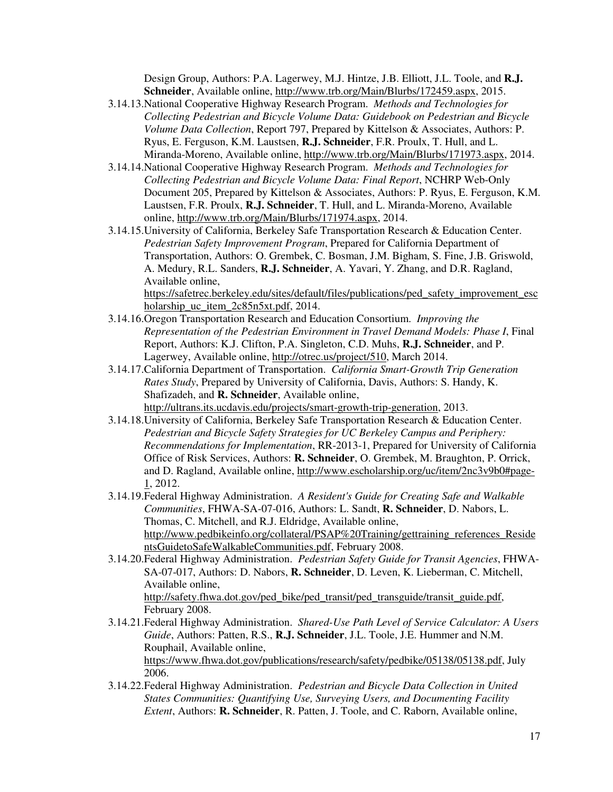Design Group, Authors: P.A. Lagerwey, M.J. Hintze, J.B. Elliott, J.L. Toole, and **R.J. Schneider**, Available online, http://www.trb.org/Main/Blurbs/172459.aspx, 2015.

- 3.14.13.National Cooperative Highway Research Program. *Methods and Technologies for Collecting Pedestrian and Bicycle Volume Data: Guidebook on Pedestrian and Bicycle Volume Data Collection*, Report 797, Prepared by Kittelson & Associates, Authors: P. Ryus, E. Ferguson, K.M. Laustsen, **R.J. Schneider**, F.R. Proulx, T. Hull, and L. Miranda-Moreno, Available online, http://www.trb.org/Main/Blurbs/171973.aspx, 2014.
- 3.14.14.National Cooperative Highway Research Program. *Methods and Technologies for Collecting Pedestrian and Bicycle Volume Data: Final Report*, NCHRP Web-Only Document 205, Prepared by Kittelson & Associates, Authors: P. Ryus, E. Ferguson, K.M. Laustsen, F.R. Proulx, **R.J. Schneider**, T. Hull, and L. Miranda-Moreno, Available online, http://www.trb.org/Main/Blurbs/171974.aspx, 2014.
- 3.14.15.University of California, Berkeley Safe Transportation Research & Education Center. *Pedestrian Safety Improvement Program*, Prepared for California Department of Transportation, Authors: O. Grembek, C. Bosman, J.M. Bigham, S. Fine, J.B. Griswold, A. Medury, R.L. Sanders, **R.J. Schneider**, A. Yavari, Y. Zhang, and D.R. Ragland, Available online, https://safetrec.berkeley.edu/sites/default/files/publications/ped\_safety\_improvement\_esc

holarship uc item 2c85n5xt.pdf, 2014.

- 3.14.16.Oregon Transportation Research and Education Consortium. *Improving the Representation of the Pedestrian Environment in Travel Demand Models: Phase I*, Final Report, Authors: K.J. Clifton, P.A. Singleton, C.D. Muhs, **R.J. Schneider**, and P. Lagerwey, Available online, http://otrec.us/project/510, March 2014.
- 3.14.17.California Department of Transportation. *California Smart-Growth Trip Generation Rates Study*, Prepared by University of California, Davis, Authors: S. Handy, K. Shafizadeh, and **R. Schneider**, Available online, http://ultrans.its.ucdavis.edu/projects/smart-growth-trip-generation, 2013.
- 3.14.18.University of California, Berkeley Safe Transportation Research & Education Center. *Pedestrian and Bicycle Safety Strategies for UC Berkeley Campus and Periphery: Recommendations for Implementation*, RR-2013-1, Prepared for University of California Office of Risk Services, Authors: **R. Schneider**, O. Grembek, M. Braughton, P. Orrick, and D. Ragland, Available online, http://www.escholarship.org/uc/item/2nc3v9b0#page-1, 2012.
- 3.14.19.Federal Highway Administration. *A Resident's Guide for Creating Safe and Walkable Communities*, FHWA-SA-07-016, Authors: L. Sandt, **R. Schneider**, D. Nabors, L. Thomas, C. Mitchell, and R.J. Eldridge, Available online, http://www.pedbikeinfo.org/collateral/PSAP%20Training/gettraining references Reside ntsGuidetoSafeWalkableCommunities.pdf, February 2008.
- 3.14.20.Federal Highway Administration. *Pedestrian Safety Guide for Transit Agencies*, FHWA-SA-07-017, Authors: D. Nabors, **R. Schneider**, D. Leven, K. Lieberman, C. Mitchell, Available online, http://safety.fhwa.dot.gov/ped\_bike/ped\_transit/ped\_transguide/transit\_guide.pdf, February 2008.
- 3.14.21.Federal Highway Administration. *Shared-Use Path Level of Service Calculator: A Users Guide*, Authors: Patten, R.S., **R.J. Schneider**, J.L. Toole, J.E. Hummer and N.M. Rouphail, Available online, https://www.fhwa.dot.gov/publications/research/safety/pedbike/05138/05138.pdf, July 2006.
- 3.14.22.Federal Highway Administration. *Pedestrian and Bicycle Data Collection in United States Communities: Quantifying Use, Surveying Users, and Documenting Facility Extent*, Authors: **R. Schneider**, R. Patten, J. Toole, and C. Raborn, Available online,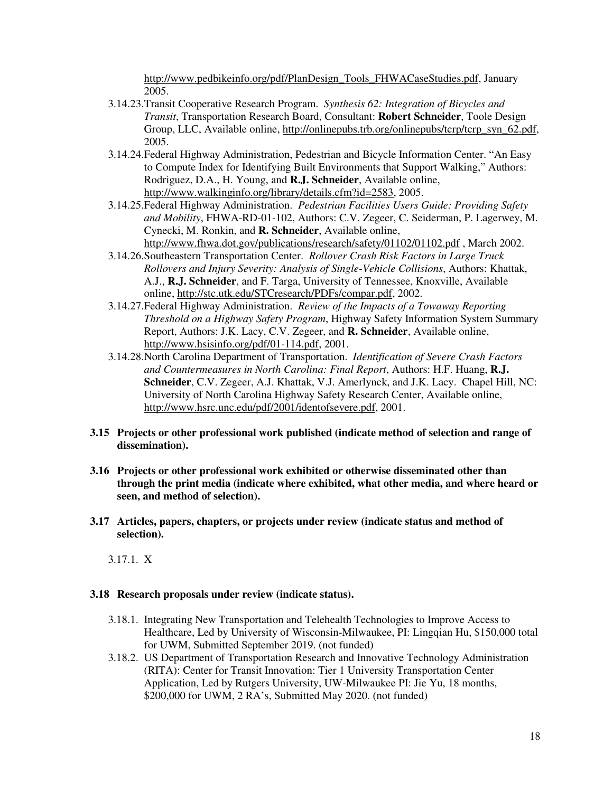http://www.pedbikeinfo.org/pdf/PlanDesign\_Tools\_FHWACaseStudies.pdf, January 2005.

- 3.14.23.Transit Cooperative Research Program. *Synthesis 62: Integration of Bicycles and Transit*, Transportation Research Board, Consultant: **Robert Schneider**, Toole Design Group, LLC, Available online, http://onlinepubs.trb.org/onlinepubs/tcrp/tcrp\_syn\_62.pdf, 2005.
- 3.14.24.Federal Highway Administration, Pedestrian and Bicycle Information Center. "An Easy to Compute Index for Identifying Built Environments that Support Walking," Authors: Rodriguez, D.A., H. Young, and **R.J. Schneider**, Available online, http://www.walkinginfo.org/library/details.cfm?id=2583, 2005.
- 3.14.25.Federal Highway Administration. *Pedestrian Facilities Users Guide: Providing Safety and Mobility*, FHWA-RD-01-102, Authors: C.V. Zegeer, C. Seiderman, P. Lagerwey, M. Cynecki, M. Ronkin, and **R. Schneider**, Available online, http://www.fhwa.dot.gov/publications/research/safety/01102/01102.pdf , March 2002.
- 3.14.26.Southeastern Transportation Center. *Rollover Crash Risk Factors in Large Truck Rollovers and Injury Severity: Analysis of Single-Vehicle Collisions*, Authors: Khattak, A.J., **R.J. Schneider**, and F. Targa, University of Tennessee, Knoxville, Available online, http://stc.utk.edu/STCresearch/PDFs/compar.pdf, 2002.
- 3.14.27.Federal Highway Administration. *Review of the Impacts of a Towaway Reporting Threshold on a Highway Safety Program*, Highway Safety Information System Summary Report, Authors: J.K. Lacy, C.V. Zegeer, and **R. Schneider**, Available online, http://www.hsisinfo.org/pdf/01-114.pdf, 2001.
- 3.14.28.North Carolina Department of Transportation. *Identification of Severe Crash Factors and Countermeasures in North Carolina: Final Report*, Authors: H.F. Huang, **R.J. Schneider**, C.V. Zegeer, A.J. Khattak, V.J. Amerlynck, and J.K. Lacy. Chapel Hill, NC: University of North Carolina Highway Safety Research Center, Available online, http://www.hsrc.unc.edu/pdf/2001/identofsevere.pdf, 2001.
- **3.15 Projects or other professional work published (indicate method of selection and range of dissemination).**
- **3.16 Projects or other professional work exhibited or otherwise disseminated other than through the print media (indicate where exhibited, what other media, and where heard or seen, and method of selection).**
- **3.17 Articles, papers, chapters, or projects under review (indicate status and method of selection).**

3.17.1. X

#### **3.18 Research proposals under review (indicate status).**

- 3.18.1. Integrating New Transportation and Telehealth Technologies to Improve Access to Healthcare, Led by University of Wisconsin-Milwaukee, PI: Lingqian Hu, \$150,000 total for UWM, Submitted September 2019. (not funded)
- 3.18.2. US Department of Transportation Research and Innovative Technology Administration (RITA): Center for Transit Innovation: Tier 1 University Transportation Center Application, Led by Rutgers University, UW-Milwaukee PI: Jie Yu, 18 months, \$200,000 for UWM, 2 RA's, Submitted May 2020. (not funded)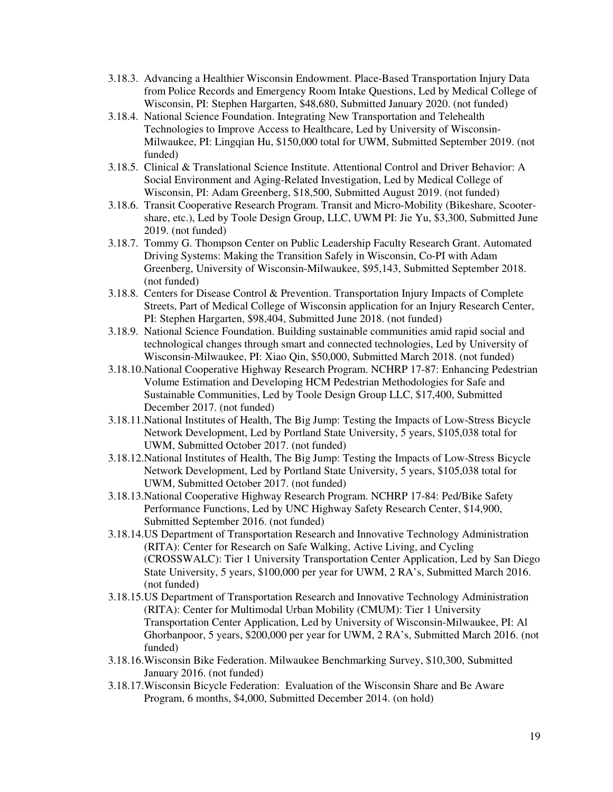- 3.18.3. Advancing a Healthier Wisconsin Endowment. Place-Based Transportation Injury Data from Police Records and Emergency Room Intake Questions, Led by Medical College of Wisconsin, PI: Stephen Hargarten, \$48,680, Submitted January 2020. (not funded)
- 3.18.4. National Science Foundation. Integrating New Transportation and Telehealth Technologies to Improve Access to Healthcare, Led by University of Wisconsin-Milwaukee, PI: Lingqian Hu, \$150,000 total for UWM, Submitted September 2019. (not funded)
- 3.18.5. Clinical & Translational Science Institute. Attentional Control and Driver Behavior: A Social Environment and Aging-Related Investigation, Led by Medical College of Wisconsin, PI: Adam Greenberg, \$18,500, Submitted August 2019. (not funded)
- 3.18.6. Transit Cooperative Research Program. Transit and Micro-Mobility (Bikeshare, Scootershare, etc.), Led by Toole Design Group, LLC, UWM PI: Jie Yu, \$3,300, Submitted June 2019. (not funded)
- 3.18.7. Tommy G. Thompson Center on Public Leadership Faculty Research Grant. Automated Driving Systems: Making the Transition Safely in Wisconsin, Co-PI with Adam Greenberg, University of Wisconsin-Milwaukee, \$95,143, Submitted September 2018. (not funded)
- 3.18.8. Centers for Disease Control & Prevention. Transportation Injury Impacts of Complete Streets, Part of Medical College of Wisconsin application for an Injury Research Center, PI: Stephen Hargarten, \$98,404, Submitted June 2018. (not funded)
- 3.18.9. National Science Foundation. Building sustainable communities amid rapid social and technological changes through smart and connected technologies, Led by University of Wisconsin-Milwaukee, PI: Xiao Qin, \$50,000, Submitted March 2018. (not funded)
- 3.18.10.National Cooperative Highway Research Program. NCHRP 17-87: Enhancing Pedestrian Volume Estimation and Developing HCM Pedestrian Methodologies for Safe and Sustainable Communities, Led by Toole Design Group LLC, \$17,400, Submitted December 2017. (not funded)
- 3.18.11.National Institutes of Health, The Big Jump: Testing the Impacts of Low-Stress Bicycle Network Development, Led by Portland State University, 5 years, \$105,038 total for UWM, Submitted October 2017. (not funded)
- 3.18.12.National Institutes of Health, The Big Jump: Testing the Impacts of Low-Stress Bicycle Network Development, Led by Portland State University, 5 years, \$105,038 total for UWM, Submitted October 2017. (not funded)
- 3.18.13.National Cooperative Highway Research Program. NCHRP 17-84: Ped/Bike Safety Performance Functions, Led by UNC Highway Safety Research Center, \$14,900, Submitted September 2016. (not funded)
- 3.18.14.US Department of Transportation Research and Innovative Technology Administration (RITA): Center for Research on Safe Walking, Active Living, and Cycling (CROSSWALC): Tier 1 University Transportation Center Application, Led by San Diego State University, 5 years, \$100,000 per year for UWM, 2 RA's, Submitted March 2016. (not funded)
- 3.18.15.US Department of Transportation Research and Innovative Technology Administration (RITA): Center for Multimodal Urban Mobility (CMUM): Tier 1 University Transportation Center Application, Led by University of Wisconsin-Milwaukee, PI: Al Ghorbanpoor, 5 years, \$200,000 per year for UWM, 2 RA's, Submitted March 2016. (not funded)
- 3.18.16.Wisconsin Bike Federation. Milwaukee Benchmarking Survey, \$10,300, Submitted January 2016. (not funded)
- 3.18.17.Wisconsin Bicycle Federation: Evaluation of the Wisconsin Share and Be Aware Program, 6 months, \$4,000, Submitted December 2014. (on hold)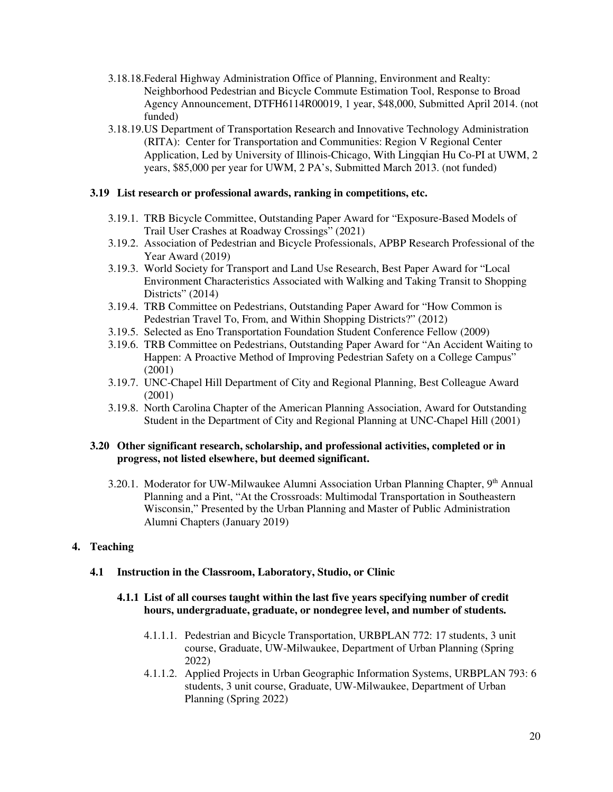- 3.18.18.Federal Highway Administration Office of Planning, Environment and Realty: Neighborhood Pedestrian and Bicycle Commute Estimation Tool, Response to Broad Agency Announcement, DTFH6114R00019, 1 year, \$48,000, Submitted April 2014. (not funded)
- 3.18.19.US Department of Transportation Research and Innovative Technology Administration (RITA): Center for Transportation and Communities: Region V Regional Center Application, Led by University of Illinois-Chicago, With Lingqian Hu Co-PI at UWM, 2 years, \$85,000 per year for UWM, 2 PA's, Submitted March 2013. (not funded)

### **3.19 List research or professional awards, ranking in competitions, etc.**

- 3.19.1. TRB Bicycle Committee, Outstanding Paper Award for "Exposure-Based Models of Trail User Crashes at Roadway Crossings" (2021)
- 3.19.2. Association of Pedestrian and Bicycle Professionals, APBP Research Professional of the Year Award (2019)
- 3.19.3. World Society for Transport and Land Use Research, Best Paper Award for "Local Environment Characteristics Associated with Walking and Taking Transit to Shopping Districts" (2014)
- 3.19.4. TRB Committee on Pedestrians, Outstanding Paper Award for "How Common is Pedestrian Travel To, From, and Within Shopping Districts?" (2012)
- 3.19.5. Selected as Eno Transportation Foundation Student Conference Fellow (2009)
- 3.19.6. TRB Committee on Pedestrians, Outstanding Paper Award for "An Accident Waiting to Happen: A Proactive Method of Improving Pedestrian Safety on a College Campus" (2001)
- 3.19.7. UNC-Chapel Hill Department of City and Regional Planning, Best Colleague Award (2001)
- 3.19.8. North Carolina Chapter of the American Planning Association, Award for Outstanding Student in the Department of City and Regional Planning at UNC-Chapel Hill (2001)

### **3.20 Other significant research, scholarship, and professional activities, completed or in progress, not listed elsewhere, but deemed significant.**

3.20.1. Moderator for UW-Milwaukee Alumni Association Urban Planning Chapter, 9<sup>th</sup> Annual Planning and a Pint, "At the Crossroads: Multimodal Transportation in Southeastern Wisconsin," Presented by the Urban Planning and Master of Public Administration Alumni Chapters (January 2019)

# **4. Teaching**

# **4.1 Instruction in the Classroom, Laboratory, Studio, or Clinic**

## **4.1.1 List of all courses taught within the last five years specifying number of credit hours, undergraduate, graduate, or nondegree level, and number of students.**

- 4.1.1.1. Pedestrian and Bicycle Transportation, URBPLAN 772: 17 students, 3 unit course, Graduate, UW-Milwaukee, Department of Urban Planning (Spring 2022)
- 4.1.1.2. Applied Projects in Urban Geographic Information Systems, URBPLAN 793: 6 students, 3 unit course, Graduate, UW-Milwaukee, Department of Urban Planning (Spring 2022)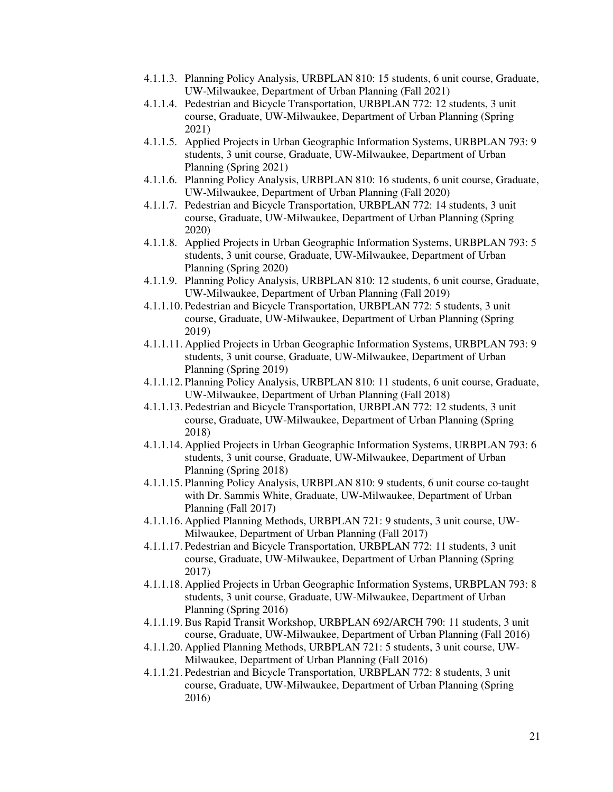- 4.1.1.3. Planning Policy Analysis, URBPLAN 810: 15 students, 6 unit course, Graduate, UW-Milwaukee, Department of Urban Planning (Fall 2021)
- 4.1.1.4. Pedestrian and Bicycle Transportation, URBPLAN 772: 12 students, 3 unit course, Graduate, UW-Milwaukee, Department of Urban Planning (Spring 2021)
- 4.1.1.5. Applied Projects in Urban Geographic Information Systems, URBPLAN 793: 9 students, 3 unit course, Graduate, UW-Milwaukee, Department of Urban Planning (Spring 2021)
- 4.1.1.6. Planning Policy Analysis, URBPLAN 810: 16 students, 6 unit course, Graduate, UW-Milwaukee, Department of Urban Planning (Fall 2020)
- 4.1.1.7. Pedestrian and Bicycle Transportation, URBPLAN 772: 14 students, 3 unit course, Graduate, UW-Milwaukee, Department of Urban Planning (Spring 2020)
- 4.1.1.8. Applied Projects in Urban Geographic Information Systems, URBPLAN 793: 5 students, 3 unit course, Graduate, UW-Milwaukee, Department of Urban Planning (Spring 2020)
- 4.1.1.9. Planning Policy Analysis, URBPLAN 810: 12 students, 6 unit course, Graduate, UW-Milwaukee, Department of Urban Planning (Fall 2019)
- 4.1.1.10. Pedestrian and Bicycle Transportation, URBPLAN 772: 5 students, 3 unit course, Graduate, UW-Milwaukee, Department of Urban Planning (Spring 2019)
- 4.1.1.11. Applied Projects in Urban Geographic Information Systems, URBPLAN 793: 9 students, 3 unit course, Graduate, UW-Milwaukee, Department of Urban Planning (Spring 2019)
- 4.1.1.12. Planning Policy Analysis, URBPLAN 810: 11 students, 6 unit course, Graduate, UW-Milwaukee, Department of Urban Planning (Fall 2018)
- 4.1.1.13. Pedestrian and Bicycle Transportation, URBPLAN 772: 12 students, 3 unit course, Graduate, UW-Milwaukee, Department of Urban Planning (Spring 2018)
- 4.1.1.14. Applied Projects in Urban Geographic Information Systems, URBPLAN 793: 6 students, 3 unit course, Graduate, UW-Milwaukee, Department of Urban Planning (Spring 2018)
- 4.1.1.15. Planning Policy Analysis, URBPLAN 810: 9 students, 6 unit course co-taught with Dr. Sammis White, Graduate, UW-Milwaukee, Department of Urban Planning (Fall 2017)
- 4.1.1.16. Applied Planning Methods, URBPLAN 721: 9 students, 3 unit course, UW-Milwaukee, Department of Urban Planning (Fall 2017)
- 4.1.1.17. Pedestrian and Bicycle Transportation, URBPLAN 772: 11 students, 3 unit course, Graduate, UW-Milwaukee, Department of Urban Planning (Spring 2017)
- 4.1.1.18. Applied Projects in Urban Geographic Information Systems, URBPLAN 793: 8 students, 3 unit course, Graduate, UW-Milwaukee, Department of Urban Planning (Spring 2016)
- 4.1.1.19. Bus Rapid Transit Workshop, URBPLAN 692/ARCH 790: 11 students, 3 unit course, Graduate, UW-Milwaukee, Department of Urban Planning (Fall 2016)
- 4.1.1.20. Applied Planning Methods, URBPLAN 721: 5 students, 3 unit course, UW-Milwaukee, Department of Urban Planning (Fall 2016)
- 4.1.1.21. Pedestrian and Bicycle Transportation, URBPLAN 772: 8 students, 3 unit course, Graduate, UW-Milwaukee, Department of Urban Planning (Spring 2016)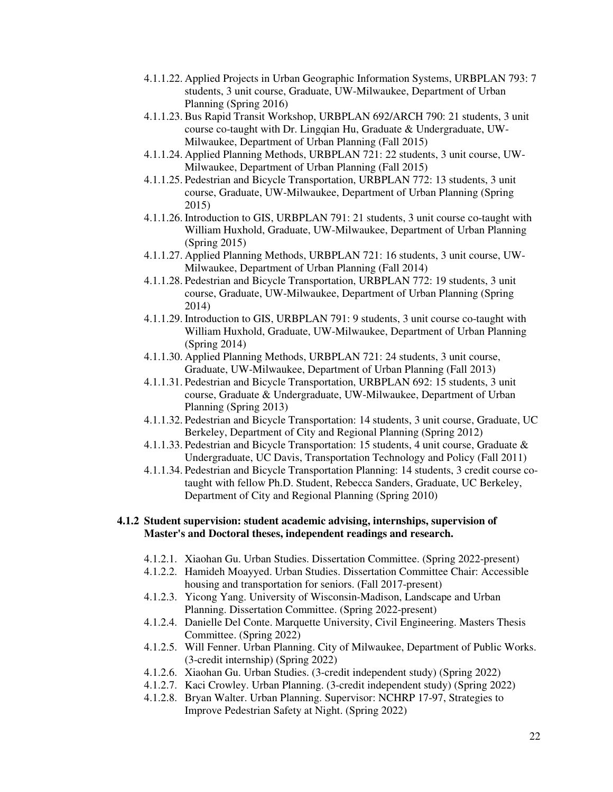- 4.1.1.22. Applied Projects in Urban Geographic Information Systems, URBPLAN 793: 7 students, 3 unit course, Graduate, UW-Milwaukee, Department of Urban Planning (Spring 2016)
- 4.1.1.23. Bus Rapid Transit Workshop, URBPLAN 692/ARCH 790: 21 students, 3 unit course co-taught with Dr. Lingqian Hu, Graduate & Undergraduate, UW-Milwaukee, Department of Urban Planning (Fall 2015)
- 4.1.1.24. Applied Planning Methods, URBPLAN 721: 22 students, 3 unit course, UW-Milwaukee, Department of Urban Planning (Fall 2015)
- 4.1.1.25. Pedestrian and Bicycle Transportation, URBPLAN 772: 13 students, 3 unit course, Graduate, UW-Milwaukee, Department of Urban Planning (Spring 2015)
- 4.1.1.26. Introduction to GIS, URBPLAN 791: 21 students, 3 unit course co-taught with William Huxhold, Graduate, UW-Milwaukee, Department of Urban Planning (Spring 2015)
- 4.1.1.27. Applied Planning Methods, URBPLAN 721: 16 students, 3 unit course, UW-Milwaukee, Department of Urban Planning (Fall 2014)
- 4.1.1.28. Pedestrian and Bicycle Transportation, URBPLAN 772: 19 students, 3 unit course, Graduate, UW-Milwaukee, Department of Urban Planning (Spring 2014)
- 4.1.1.29. Introduction to GIS, URBPLAN 791: 9 students, 3 unit course co-taught with William Huxhold, Graduate, UW-Milwaukee, Department of Urban Planning (Spring 2014)
- 4.1.1.30. Applied Planning Methods, URBPLAN 721: 24 students, 3 unit course, Graduate, UW-Milwaukee, Department of Urban Planning (Fall 2013)
- 4.1.1.31. Pedestrian and Bicycle Transportation, URBPLAN 692: 15 students, 3 unit course, Graduate & Undergraduate, UW-Milwaukee, Department of Urban Planning (Spring 2013)
- 4.1.1.32. Pedestrian and Bicycle Transportation: 14 students, 3 unit course, Graduate, UC Berkeley, Department of City and Regional Planning (Spring 2012)
- 4.1.1.33. Pedestrian and Bicycle Transportation: 15 students, 4 unit course, Graduate & Undergraduate, UC Davis, Transportation Technology and Policy (Fall 2011)
- 4.1.1.34. Pedestrian and Bicycle Transportation Planning: 14 students, 3 credit course cotaught with fellow Ph.D. Student, Rebecca Sanders, Graduate, UC Berkeley, Department of City and Regional Planning (Spring 2010)

### **4.1.2 Student supervision: student academic advising, internships, supervision of Master's and Doctoral theses, independent readings and research.**

- 4.1.2.1. Xiaohan Gu. Urban Studies. Dissertation Committee. (Spring 2022-present)
- 4.1.2.2. Hamideh Moayyed. Urban Studies. Dissertation Committee Chair: Accessible housing and transportation for seniors. (Fall 2017-present)
- 4.1.2.3. Yicong Yang. University of Wisconsin-Madison, Landscape and Urban Planning. Dissertation Committee. (Spring 2022-present)
- 4.1.2.4. Danielle Del Conte. Marquette University, Civil Engineering. Masters Thesis Committee. (Spring 2022)
- 4.1.2.5. Will Fenner. Urban Planning. City of Milwaukee, Department of Public Works. (3-credit internship) (Spring 2022)
- 4.1.2.6. Xiaohan Gu. Urban Studies. (3-credit independent study) (Spring 2022)
- 4.1.2.7. Kaci Crowley. Urban Planning. (3-credit independent study) (Spring 2022)
- 4.1.2.8. Bryan Walter. Urban Planning. Supervisor: NCHRP 17-97, Strategies to Improve Pedestrian Safety at Night. (Spring 2022)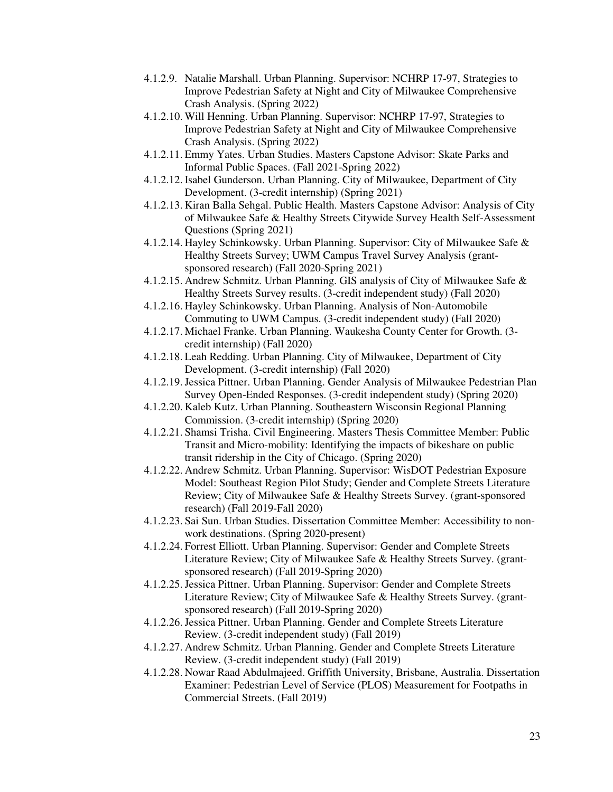- 4.1.2.9. Natalie Marshall. Urban Planning. Supervisor: NCHRP 17-97, Strategies to Improve Pedestrian Safety at Night and City of Milwaukee Comprehensive Crash Analysis. (Spring 2022)
- 4.1.2.10. Will Henning. Urban Planning. Supervisor: NCHRP 17-97, Strategies to Improve Pedestrian Safety at Night and City of Milwaukee Comprehensive Crash Analysis. (Spring 2022)
- 4.1.2.11. Emmy Yates. Urban Studies. Masters Capstone Advisor: Skate Parks and Informal Public Spaces. (Fall 2021-Spring 2022)
- 4.1.2.12. Isabel Gunderson. Urban Planning. City of Milwaukee, Department of City Development. (3-credit internship) (Spring 2021)
- 4.1.2.13. Kiran Balla Sehgal. Public Health. Masters Capstone Advisor: Analysis of City of Milwaukee Safe & Healthy Streets Citywide Survey Health Self-Assessment Questions (Spring 2021)
- 4.1.2.14. Hayley Schinkowsky. Urban Planning. Supervisor: City of Milwaukee Safe & Healthy Streets Survey; UWM Campus Travel Survey Analysis (grantsponsored research) (Fall 2020-Spring 2021)
- 4.1.2.15. Andrew Schmitz. Urban Planning. GIS analysis of City of Milwaukee Safe & Healthy Streets Survey results. (3-credit independent study) (Fall 2020)
- 4.1.2.16. Hayley Schinkowsky. Urban Planning. Analysis of Non-Automobile Commuting to UWM Campus. (3-credit independent study) (Fall 2020)
- 4.1.2.17. Michael Franke. Urban Planning. Waukesha County Center for Growth. (3 credit internship) (Fall 2020)
- 4.1.2.18. Leah Redding. Urban Planning. City of Milwaukee, Department of City Development. (3-credit internship) (Fall 2020)
- 4.1.2.19.Jessica Pittner. Urban Planning. Gender Analysis of Milwaukee Pedestrian Plan Survey Open-Ended Responses. (3-credit independent study) (Spring 2020)
- 4.1.2.20. Kaleb Kutz. Urban Planning. Southeastern Wisconsin Regional Planning Commission. (3-credit internship) (Spring 2020)
- 4.1.2.21. Shamsi Trisha. Civil Engineering. Masters Thesis Committee Member: Public Transit and Micro-mobility: Identifying the impacts of bikeshare on public transit ridership in the City of Chicago. (Spring 2020)
- 4.1.2.22. Andrew Schmitz. Urban Planning. Supervisor: WisDOT Pedestrian Exposure Model: Southeast Region Pilot Study; Gender and Complete Streets Literature Review; City of Milwaukee Safe & Healthy Streets Survey. (grant-sponsored research) (Fall 2019-Fall 2020)
- 4.1.2.23. Sai Sun. Urban Studies. Dissertation Committee Member: Accessibility to nonwork destinations. (Spring 2020-present)
- 4.1.2.24. Forrest Elliott. Urban Planning. Supervisor: Gender and Complete Streets Literature Review; City of Milwaukee Safe & Healthy Streets Survey. (grantsponsored research) (Fall 2019-Spring 2020)
- 4.1.2.25.Jessica Pittner. Urban Planning. Supervisor: Gender and Complete Streets Literature Review; City of Milwaukee Safe & Healthy Streets Survey. (grantsponsored research) (Fall 2019-Spring 2020)
- 4.1.2.26.Jessica Pittner. Urban Planning. Gender and Complete Streets Literature Review. (3-credit independent study) (Fall 2019)
- 4.1.2.27. Andrew Schmitz. Urban Planning. Gender and Complete Streets Literature Review. (3-credit independent study) (Fall 2019)
- 4.1.2.28. Nowar Raad Abdulmajeed. Griffith University, Brisbane, Australia. Dissertation Examiner: Pedestrian Level of Service (PLOS) Measurement for Footpaths in Commercial Streets. (Fall 2019)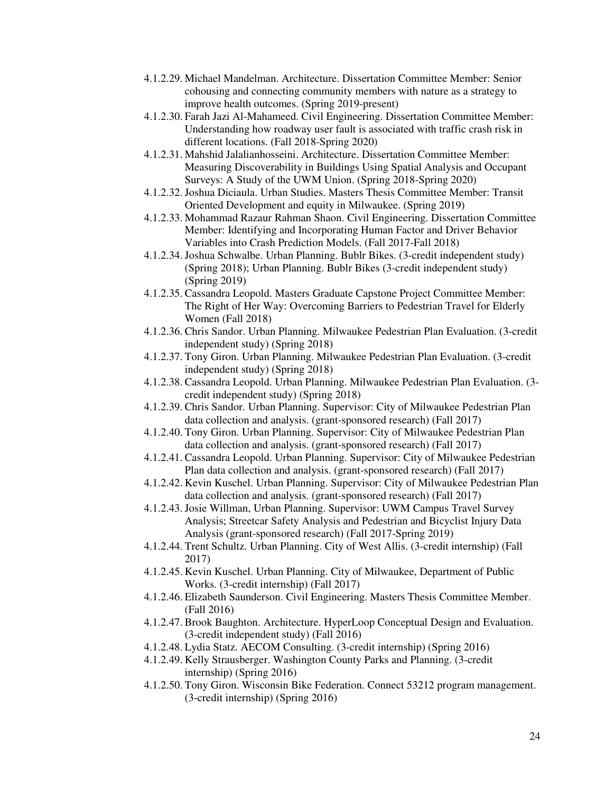- 4.1.2.29. Michael Mandelman. Architecture. Dissertation Committee Member: Senior cohousing and connecting community members with nature as a strategy to improve health outcomes. (Spring 2019-present)
- 4.1.2.30. Farah Jazi Al-Mahameed. Civil Engineering. Dissertation Committee Member: Understanding how roadway user fault is associated with traffic crash risk in different locations. (Fall 2018-Spring 2020)
- 4.1.2.31. Mahshid Jalalianhosseini. Architecture. Dissertation Committee Member: Measuring Discoverability in Buildings Using Spatial Analysis and Occupant Surveys: A Study of the UWM Union. (Spring 2018-Spring 2020)
- 4.1.2.32.Joshua Diciaula. Urban Studies. Masters Thesis Committee Member: Transit Oriented Development and equity in Milwaukee. (Spring 2019)
- 4.1.2.33. Mohammad Razaur Rahman Shaon. Civil Engineering. Dissertation Committee Member: Identifying and Incorporating Human Factor and Driver Behavior Variables into Crash Prediction Models. (Fall 2017-Fall 2018)
- 4.1.2.34.Joshua Schwalbe. Urban Planning. Bublr Bikes. (3-credit independent study) (Spring 2018); Urban Planning. Bublr Bikes (3-credit independent study) (Spring 2019)
- 4.1.2.35. Cassandra Leopold. Masters Graduate Capstone Project Committee Member: The Right of Her Way: Overcoming Barriers to Pedestrian Travel for Elderly Women (Fall 2018)
- 4.1.2.36. Chris Sandor. Urban Planning. Milwaukee Pedestrian Plan Evaluation. (3-credit independent study) (Spring 2018)
- 4.1.2.37. Tony Giron. Urban Planning. Milwaukee Pedestrian Plan Evaluation. (3-credit independent study) (Spring 2018)
- 4.1.2.38. Cassandra Leopold. Urban Planning. Milwaukee Pedestrian Plan Evaluation. (3 credit independent study) (Spring 2018)
- 4.1.2.39. Chris Sandor. Urban Planning. Supervisor: City of Milwaukee Pedestrian Plan data collection and analysis. (grant-sponsored research) (Fall 2017)
- 4.1.2.40. Tony Giron. Urban Planning. Supervisor: City of Milwaukee Pedestrian Plan data collection and analysis. (grant-sponsored research) (Fall 2017)
- 4.1.2.41. Cassandra Leopold. Urban Planning. Supervisor: City of Milwaukee Pedestrian Plan data collection and analysis. (grant-sponsored research) (Fall 2017)
- 4.1.2.42. Kevin Kuschel. Urban Planning. Supervisor: City of Milwaukee Pedestrian Plan data collection and analysis. (grant-sponsored research) (Fall 2017)
- 4.1.2.43.Josie Willman, Urban Planning. Supervisor: UWM Campus Travel Survey Analysis; Streetcar Safety Analysis and Pedestrian and Bicyclist Injury Data Analysis (grant-sponsored research) (Fall 2017-Spring 2019)
- 4.1.2.44. Trent Schultz. Urban Planning. City of West Allis. (3-credit internship) (Fall 2017)
- 4.1.2.45. Kevin Kuschel. Urban Planning. City of Milwaukee, Department of Public Works. (3-credit internship) (Fall 2017)
- 4.1.2.46. Elizabeth Saunderson. Civil Engineering. Masters Thesis Committee Member. (Fall 2016)
- 4.1.2.47. Brook Baughton. Architecture. HyperLoop Conceptual Design and Evaluation. (3-credit independent study) (Fall 2016)
- 4.1.2.48. Lydia Statz. AECOM Consulting. (3-credit internship) (Spring 2016)
- 4.1.2.49. Kelly Strausberger. Washington County Parks and Planning. (3-credit internship) (Spring 2016)
- 4.1.2.50. Tony Giron. Wisconsin Bike Federation. Connect 53212 program management. (3-credit internship) (Spring 2016)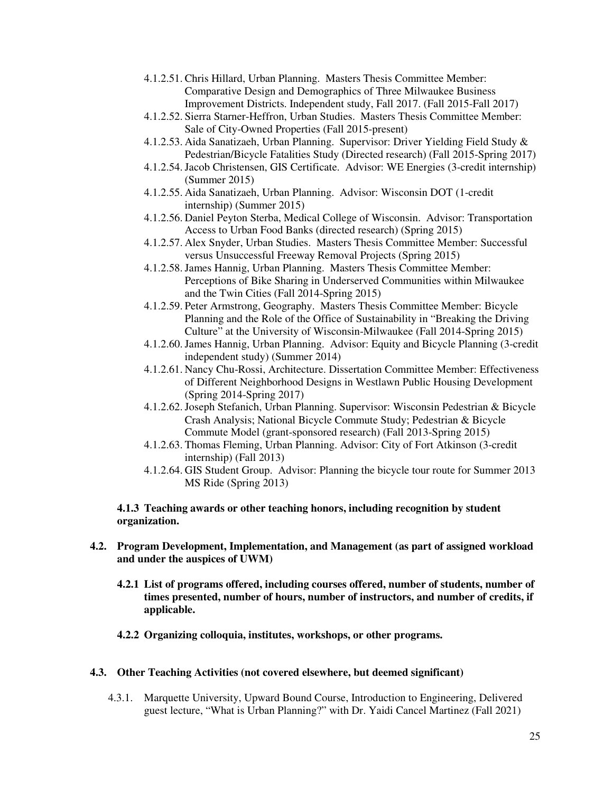- 4.1.2.51. Chris Hillard, Urban Planning. Masters Thesis Committee Member: Comparative Design and Demographics of Three Milwaukee Business Improvement Districts. Independent study, Fall 2017. (Fall 2015-Fall 2017)
- 4.1.2.52. Sierra Starner-Heffron, Urban Studies. Masters Thesis Committee Member: Sale of City-Owned Properties (Fall 2015-present)
- 4.1.2.53. Aida Sanatizaeh, Urban Planning. Supervisor: Driver Yielding Field Study & Pedestrian/Bicycle Fatalities Study (Directed research) (Fall 2015-Spring 2017)
- 4.1.2.54.Jacob Christensen, GIS Certificate. Advisor: WE Energies (3-credit internship) (Summer 2015)
- 4.1.2.55. Aida Sanatizaeh, Urban Planning. Advisor: Wisconsin DOT (1-credit internship) (Summer 2015)
- 4.1.2.56. Daniel Peyton Sterba, Medical College of Wisconsin. Advisor: Transportation Access to Urban Food Banks (directed research) (Spring 2015)
- 4.1.2.57. Alex Snyder, Urban Studies. Masters Thesis Committee Member: Successful versus Unsuccessful Freeway Removal Projects (Spring 2015)
- 4.1.2.58.James Hannig, Urban Planning. Masters Thesis Committee Member: Perceptions of Bike Sharing in Underserved Communities within Milwaukee and the Twin Cities (Fall 2014-Spring 2015)
- 4.1.2.59. Peter Armstrong, Geography. Masters Thesis Committee Member: Bicycle Planning and the Role of the Office of Sustainability in "Breaking the Driving Culture" at the University of Wisconsin-Milwaukee (Fall 2014-Spring 2015)
- 4.1.2.60.James Hannig, Urban Planning. Advisor: Equity and Bicycle Planning (3-credit independent study) (Summer 2014)
- 4.1.2.61. Nancy Chu-Rossi, Architecture. Dissertation Committee Member: Effectiveness of Different Neighborhood Designs in Westlawn Public Housing Development (Spring 2014-Spring 2017)
- 4.1.2.62.Joseph Stefanich, Urban Planning. Supervisor: Wisconsin Pedestrian & Bicycle Crash Analysis; National Bicycle Commute Study; Pedestrian & Bicycle Commute Model (grant-sponsored research) (Fall 2013-Spring 2015)
- 4.1.2.63. Thomas Fleming, Urban Planning. Advisor: City of Fort Atkinson (3-credit internship) (Fall 2013)
- 4.1.2.64. GIS Student Group. Advisor: Planning the bicycle tour route for Summer 2013 MS Ride (Spring 2013)

#### **4.1.3 Teaching awards or other teaching honors, including recognition by student organization.**

- **4.2. Program Development, Implementation, and Management (as part of assigned workload and under the auspices of UWM)** 
	- **4.2.1 List of programs offered, including courses offered, number of students, number of times presented, number of hours, number of instructors, and number of credits, if applicable.**
	- **4.2.2 Organizing colloquia, institutes, workshops, or other programs.**

#### **4.3. Other Teaching Activities (not covered elsewhere, but deemed significant)**

4.3.1. Marquette University, Upward Bound Course, Introduction to Engineering, Delivered guest lecture, "What is Urban Planning?" with Dr. Yaidi Cancel Martinez (Fall 2021)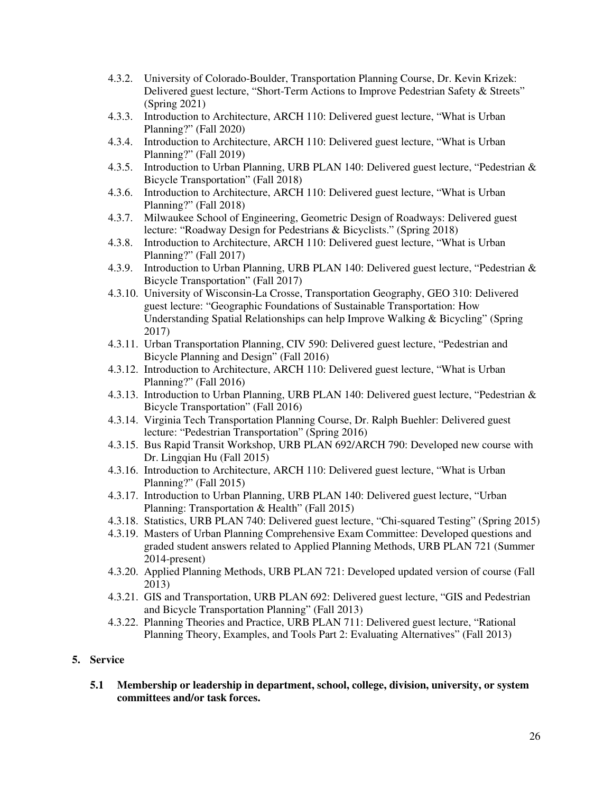- 4.3.2. University of Colorado-Boulder, Transportation Planning Course, Dr. Kevin Krizek: Delivered guest lecture, "Short-Term Actions to Improve Pedestrian Safety & Streets" (Spring 2021)
- 4.3.3. Introduction to Architecture, ARCH 110: Delivered guest lecture, "What is Urban Planning?" (Fall 2020)
- 4.3.4. Introduction to Architecture, ARCH 110: Delivered guest lecture, "What is Urban Planning?" (Fall 2019)
- 4.3.5. Introduction to Urban Planning, URB PLAN 140: Delivered guest lecture, "Pedestrian & Bicycle Transportation" (Fall 2018)
- 4.3.6. Introduction to Architecture, ARCH 110: Delivered guest lecture, "What is Urban Planning?" (Fall 2018)
- 4.3.7. Milwaukee School of Engineering, Geometric Design of Roadways: Delivered guest lecture: "Roadway Design for Pedestrians & Bicyclists." (Spring 2018)
- 4.3.8. Introduction to Architecture, ARCH 110: Delivered guest lecture, "What is Urban Planning?" (Fall 2017)
- 4.3.9. Introduction to Urban Planning, URB PLAN 140: Delivered guest lecture, "Pedestrian & Bicycle Transportation" (Fall 2017)
- 4.3.10. University of Wisconsin-La Crosse, Transportation Geography, GEO 310: Delivered guest lecture: "Geographic Foundations of Sustainable Transportation: How Understanding Spatial Relationships can help Improve Walking & Bicycling" (Spring 2017)
- 4.3.11. Urban Transportation Planning, CIV 590: Delivered guest lecture, "Pedestrian and Bicycle Planning and Design" (Fall 2016)
- 4.3.12. Introduction to Architecture, ARCH 110: Delivered guest lecture, "What is Urban Planning?" (Fall 2016)
- 4.3.13. Introduction to Urban Planning, URB PLAN 140: Delivered guest lecture, "Pedestrian & Bicycle Transportation" (Fall 2016)
- 4.3.14. Virginia Tech Transportation Planning Course, Dr. Ralph Buehler: Delivered guest lecture: "Pedestrian Transportation" (Spring 2016)
- 4.3.15. Bus Rapid Transit Workshop, URB PLAN 692/ARCH 790: Developed new course with Dr. Lingqian Hu (Fall 2015)
- 4.3.16. Introduction to Architecture, ARCH 110: Delivered guest lecture, "What is Urban Planning?" (Fall 2015)
- 4.3.17. Introduction to Urban Planning, URB PLAN 140: Delivered guest lecture, "Urban Planning: Transportation & Health" (Fall 2015)
- 4.3.18. Statistics, URB PLAN 740: Delivered guest lecture, "Chi-squared Testing" (Spring 2015)
- 4.3.19. Masters of Urban Planning Comprehensive Exam Committee: Developed questions and graded student answers related to Applied Planning Methods, URB PLAN 721 (Summer 2014-present)
- 4.3.20. Applied Planning Methods, URB PLAN 721: Developed updated version of course (Fall 2013)
- 4.3.21. GIS and Transportation, URB PLAN 692: Delivered guest lecture, "GIS and Pedestrian and Bicycle Transportation Planning" (Fall 2013)
- 4.3.22. Planning Theories and Practice, URB PLAN 711: Delivered guest lecture, "Rational Planning Theory, Examples, and Tools Part 2: Evaluating Alternatives" (Fall 2013)

### **5. Service**

 **5.1 Membership or leadership in department, school, college, division, university, or system committees and/or task forces.**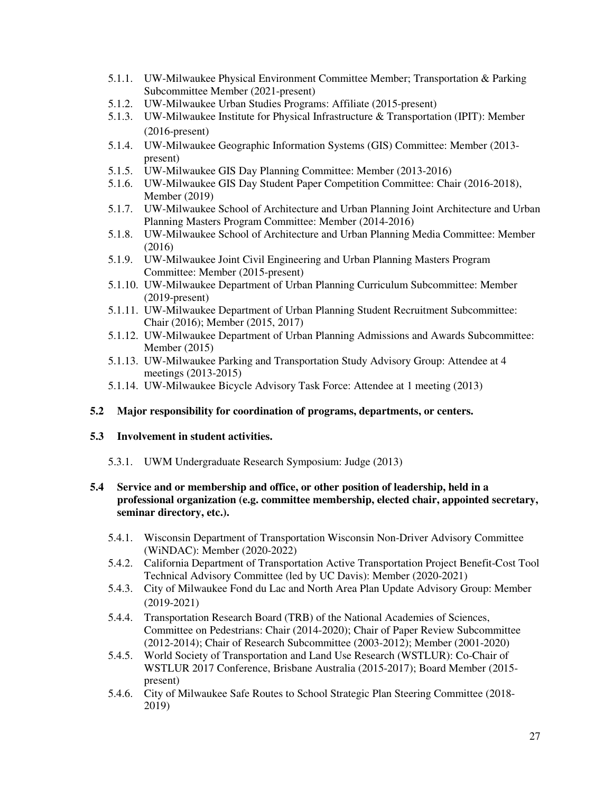- 5.1.1. UW-Milwaukee Physical Environment Committee Member; Transportation & Parking Subcommittee Member (2021-present)
- 5.1.2. UW-Milwaukee Urban Studies Programs: Affiliate (2015-present)
- 5.1.3. UW-Milwaukee Institute for Physical Infrastructure & Transportation (IPIT): Member (2016-present)
- 5.1.4. UW-Milwaukee Geographic Information Systems (GIS) Committee: Member (2013 present)
- 5.1.5. UW-Milwaukee GIS Day Planning Committee: Member (2013-2016)
- 5.1.6. UW-Milwaukee GIS Day Student Paper Competition Committee: Chair (2016-2018), Member (2019)
- 5.1.7. UW-Milwaukee School of Architecture and Urban Planning Joint Architecture and Urban Planning Masters Program Committee: Member (2014-2016)
- 5.1.8. UW-Milwaukee School of Architecture and Urban Planning Media Committee: Member (2016)
- 5.1.9. UW-Milwaukee Joint Civil Engineering and Urban Planning Masters Program Committee: Member (2015-present)
- 5.1.10. UW-Milwaukee Department of Urban Planning Curriculum Subcommittee: Member (2019-present)
- 5.1.11. UW-Milwaukee Department of Urban Planning Student Recruitment Subcommittee: Chair (2016); Member (2015, 2017)
- 5.1.12. UW-Milwaukee Department of Urban Planning Admissions and Awards Subcommittee: Member (2015)
- 5.1.13. UW-Milwaukee Parking and Transportation Study Advisory Group: Attendee at 4 meetings (2013-2015)
- 5.1.14. UW-Milwaukee Bicycle Advisory Task Force: Attendee at 1 meeting (2013)

### **5.2 Major responsibility for coordination of programs, departments, or centers.**

# **5.3 Involvement in student activities.**

5.3.1. UWM Undergraduate Research Symposium: Judge (2013)

## **5.4 Service and or membership and office, or other position of leadership, held in a professional organization (e.g. committee membership, elected chair, appointed secretary, seminar directory, etc.).**

- 5.4.1. Wisconsin Department of Transportation Wisconsin Non-Driver Advisory Committee (WiNDAC): Member (2020-2022)
- 5.4.2. California Department of Transportation Active Transportation Project Benefit-Cost Tool Technical Advisory Committee (led by UC Davis): Member (2020-2021)
- 5.4.3. City of Milwaukee Fond du Lac and North Area Plan Update Advisory Group: Member (2019-2021)
- 5.4.4. Transportation Research Board (TRB) of the National Academies of Sciences, Committee on Pedestrians: Chair (2014-2020); Chair of Paper Review Subcommittee (2012-2014); Chair of Research Subcommittee (2003-2012); Member (2001-2020)
- 5.4.5. World Society of Transportation and Land Use Research (WSTLUR): Co-Chair of WSTLUR 2017 Conference, Brisbane Australia (2015-2017); Board Member (2015 present)
- 5.4.6. City of Milwaukee Safe Routes to School Strategic Plan Steering Committee (2018- 2019)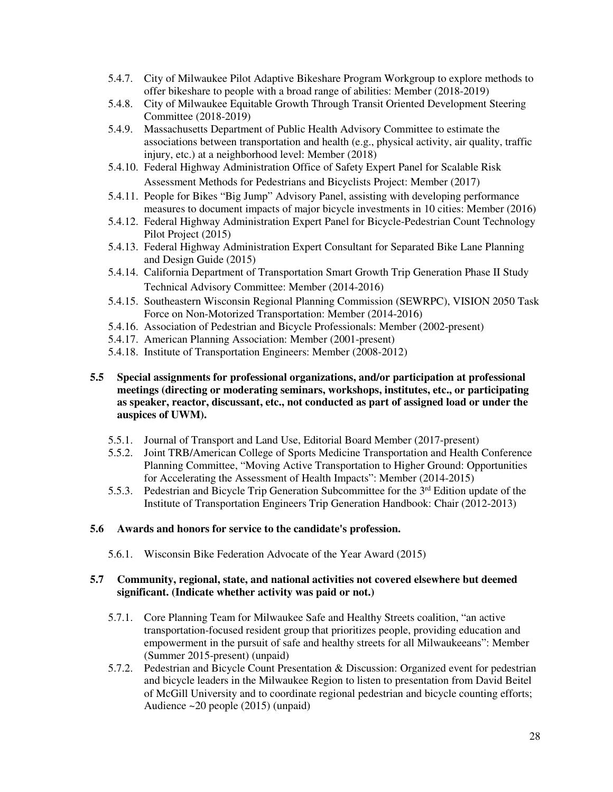- 5.4.7. City of Milwaukee Pilot Adaptive Bikeshare Program Workgroup to explore methods to offer bikeshare to people with a broad range of abilities: Member (2018-2019)
- 5.4.8. City of Milwaukee Equitable Growth Through Transit Oriented Development Steering Committee (2018-2019)
- 5.4.9. Massachusetts Department of Public Health Advisory Committee to estimate the associations between transportation and health (e.g., physical activity, air quality, traffic injury, etc.) at a neighborhood level: Member (2018)
- 5.4.10. Federal Highway Administration Office of Safety Expert Panel for Scalable Risk Assessment Methods for Pedestrians and Bicyclists Project: Member (2017)
- 5.4.11. People for Bikes "Big Jump" Advisory Panel, assisting with developing performance measures to document impacts of major bicycle investments in 10 cities: Member (2016)
- 5.4.12. Federal Highway Administration Expert Panel for Bicycle-Pedestrian Count Technology Pilot Project (2015)
- 5.4.13. Federal Highway Administration Expert Consultant for Separated Bike Lane Planning and Design Guide (2015)
- 5.4.14. California Department of Transportation Smart Growth Trip Generation Phase II Study Technical Advisory Committee: Member (2014-2016)
- 5.4.15. Southeastern Wisconsin Regional Planning Commission (SEWRPC), VISION 2050 Task Force on Non-Motorized Transportation: Member (2014-2016)
- 5.4.16. Association of Pedestrian and Bicycle Professionals: Member (2002-present)
- 5.4.17. American Planning Association: Member (2001-present)
- 5.4.18. Institute of Transportation Engineers: Member (2008-2012)
- **5.5 Special assignments for professional organizations, and/or participation at professional meetings (directing or moderating seminars, workshops, institutes, etc., or participating as speaker, reactor, discussant, etc., not conducted as part of assigned load or under the auspices of UWM).**
	- 5.5.1. Journal of Transport and Land Use, Editorial Board Member (2017-present)
	- 5.5.2. Joint TRB/American College of Sports Medicine Transportation and Health Conference Planning Committee, "Moving Active Transportation to Higher Ground: Opportunities for Accelerating the Assessment of Health Impacts": Member (2014-2015)
	- 5.5.3. Pedestrian and Bicycle Trip Generation Subcommittee for the 3<sup>rd</sup> Edition update of the Institute of Transportation Engineers Trip Generation Handbook: Chair (2012-2013)

### **5.6 Awards and honors for service to the candidate's profession.**

5.6.1. Wisconsin Bike Federation Advocate of the Year Award (2015)

## **5.7 Community, regional, state, and national activities not covered elsewhere but deemed significant. (Indicate whether activity was paid or not.)**

- 5.7.1. Core Planning Team for Milwaukee Safe and Healthy Streets coalition, "an active transportation-focused resident group that prioritizes people, providing education and empowerment in the pursuit of safe and healthy streets for all Milwaukeeans": Member (Summer 2015-present) (unpaid)
- 5.7.2. Pedestrian and Bicycle Count Presentation & Discussion: Organized event for pedestrian and bicycle leaders in the Milwaukee Region to listen to presentation from David Beitel of McGill University and to coordinate regional pedestrian and bicycle counting efforts; Audience ~20 people (2015) (unpaid)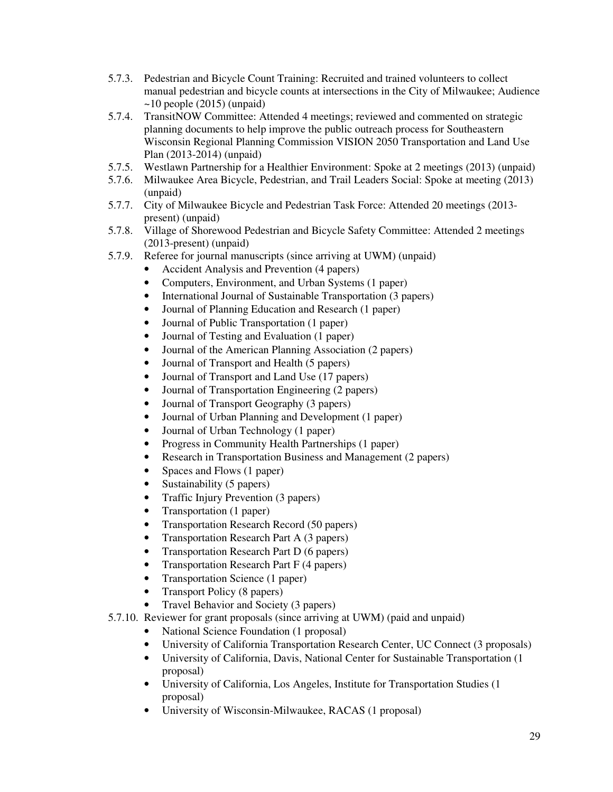- 5.7.3. Pedestrian and Bicycle Count Training: Recruited and trained volunteers to collect manual pedestrian and bicycle counts at intersections in the City of Milwaukee; Audience  $\sim$ 10 people (2015) (unpaid)
- 5.7.4. TransitNOW Committee: Attended 4 meetings; reviewed and commented on strategic planning documents to help improve the public outreach process for Southeastern Wisconsin Regional Planning Commission VISION 2050 Transportation and Land Use Plan (2013-2014) (unpaid)
- 5.7.5. Westlawn Partnership for a Healthier Environment: Spoke at 2 meetings (2013) (unpaid)
- 5.7.6. Milwaukee Area Bicycle, Pedestrian, and Trail Leaders Social: Spoke at meeting (2013) (unpaid)
- 5.7.7. City of Milwaukee Bicycle and Pedestrian Task Force: Attended 20 meetings (2013 present) (unpaid)
- 5.7.8. Village of Shorewood Pedestrian and Bicycle Safety Committee: Attended 2 meetings (2013-present) (unpaid)
- 5.7.9. Referee for journal manuscripts (since arriving at UWM) (unpaid)
	- Accident Analysis and Prevention (4 papers)
	- Computers, Environment, and Urban Systems (1 paper)
	- International Journal of Sustainable Transportation (3 papers)
	- Journal of Planning Education and Research (1 paper)
	- Journal of Public Transportation (1 paper)
	- Journal of Testing and Evaluation (1 paper)
	- Journal of the American Planning Association (2 papers)
	- Journal of Transport and Health (5 papers)
	- Journal of Transport and Land Use (17 papers)
	- Journal of Transportation Engineering (2 papers)
	- Journal of Transport Geography (3 papers)
	- Journal of Urban Planning and Development (1 paper)
	- Journal of Urban Technology (1 paper)
	- Progress in Community Health Partnerships (1 paper)
	- Research in Transportation Business and Management (2 papers)
	- Spaces and Flows (1 paper)
	- Sustainability (5 papers)
	- Traffic Injury Prevention (3 papers)
	- Transportation (1 paper)
	- Transportation Research Record (50 papers)
	- Transportation Research Part A (3 papers)
	- Transportation Research Part D (6 papers)
	- Transportation Research Part F (4 papers)
	- Transportation Science (1 paper)
	- Transport Policy (8 papers)
	- Travel Behavior and Society (3 papers)
- 5.7.10. Reviewer for grant proposals (since arriving at UWM) (paid and unpaid)
	- National Science Foundation (1 proposal)
	- University of California Transportation Research Center, UC Connect (3 proposals)
	- University of California, Davis, National Center for Sustainable Transportation (1 proposal)
	- University of California, Los Angeles, Institute for Transportation Studies (1) proposal)
	- University of Wisconsin-Milwaukee, RACAS (1 proposal)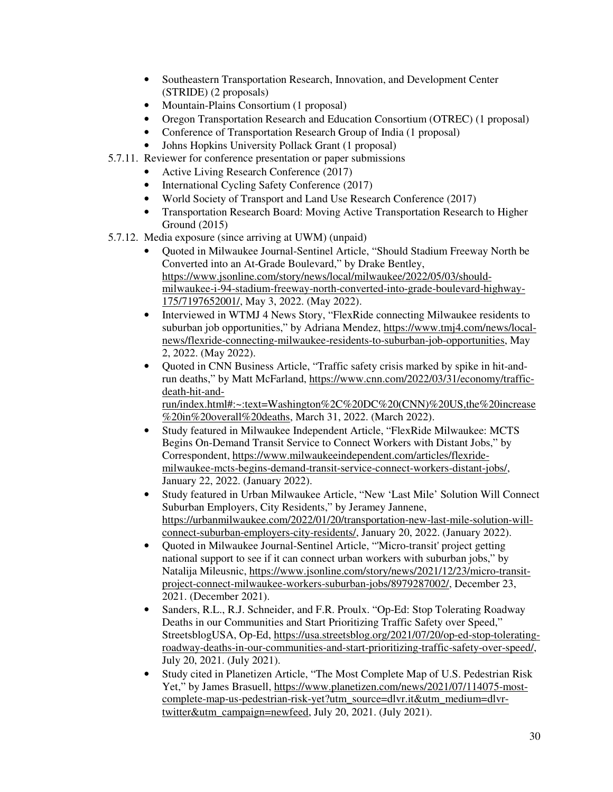- Southeastern Transportation Research, Innovation, and Development Center (STRIDE) (2 proposals)
- Mountain-Plains Consortium (1 proposal)
- Oregon Transportation Research and Education Consortium (OTREC) (1 proposal)
- Conference of Transportation Research Group of India (1 proposal)
- Johns Hopkins University Pollack Grant (1 proposal)
- 5.7.11. Reviewer for conference presentation or paper submissions
	- Active Living Research Conference (2017)
	- International Cycling Safety Conference (2017)
	- World Society of Transport and Land Use Research Conference (2017)
	- Transportation Research Board: Moving Active Transportation Research to Higher Ground (2015)
- 5.7.12. Media exposure (since arriving at UWM) (unpaid)
	- Quoted in Milwaukee Journal-Sentinel Article, "Should Stadium Freeway North be Converted into an At-Grade Boulevard," by Drake Bentley, https://www.jsonline.com/story/news/local/milwaukee/2022/05/03/shouldmilwaukee-i-94-stadium-freeway-north-converted-into-grade-boulevard-highway-175/7197652001/, May 3, 2022. (May 2022).
	- Interviewed in WTMJ 4 News Story, "FlexRide connecting Milwaukee residents to suburban job opportunities," by Adriana Mendez, https://www.tmj4.com/news/localnews/flexride-connecting-milwaukee-residents-to-suburban-job-opportunities, May 2, 2022. (May 2022).
	- Quoted in CNN Business Article, "Traffic safety crisis marked by spike in hit-andrun deaths," by Matt McFarland, https://www.cnn.com/2022/03/31/economy/trafficdeath-hit-andrun/index.html#:~:text=Washington%2C%20DC%20(CNN)%20US,the%20increase

%20in%20overall%20deaths, March 31, 2022. (March 2022).

- Study featured in Milwaukee Independent Article, "FlexRide Milwaukee: MCTS Begins On-Demand Transit Service to Connect Workers with Distant Jobs," by Correspondent, https://www.milwaukeeindependent.com/articles/flexridemilwaukee-mcts-begins-demand-transit-service-connect-workers-distant-jobs/, January 22, 2022. (January 2022).
- Study featured in Urban Milwaukee Article, "New 'Last Mile' Solution Will Connect Suburban Employers, City Residents," by Jeramey Jannene, https://urbanmilwaukee.com/2022/01/20/transportation-new-last-mile-solution-willconnect-suburban-employers-city-residents/, January 20, 2022. (January 2022).
- Quoted in Milwaukee Journal-Sentinel Article, "'Micro-transit' project getting national support to see if it can connect urban workers with suburban jobs," by Natalija Mileusnic, https://www.jsonline.com/story/news/2021/12/23/micro-transitproject-connect-milwaukee-workers-suburban-jobs/8979287002/, December 23, 2021. (December 2021).
- Sanders, R.L., R.J. Schneider, and F.R. Proulx. "Op-Ed: Stop Tolerating Roadway Deaths in our Communities and Start Prioritizing Traffic Safety over Speed," StreetsblogUSA, Op-Ed, https://usa.streetsblog.org/2021/07/20/op-ed-stop-toleratingroadway-deaths-in-our-communities-and-start-prioritizing-traffic-safety-over-speed/, July 20, 2021. (July 2021).
- Study cited in Planetizen Article, "The Most Complete Map of U.S. Pedestrian Risk Yet," by James Brasuell, https://www.planetizen.com/news/2021/07/114075-mostcomplete-map-us-pedestrian-risk-yet?utm\_source=dlvr.it&utm\_medium=dlvrtwitter&utm\_campaign=newfeed, July 20, 2021. (July 2021).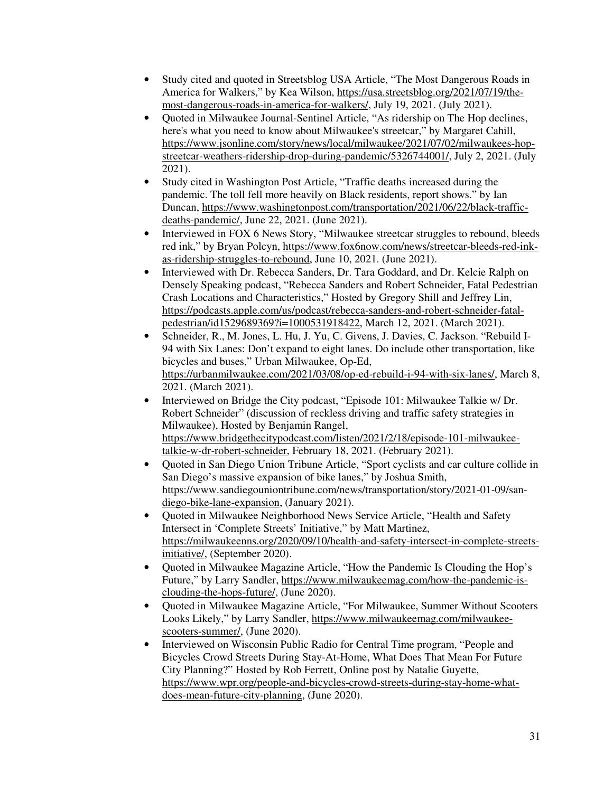- Study cited and quoted in Streetsblog USA Article, "The Most Dangerous Roads in America for Walkers," by Kea Wilson, https://usa.streetsblog.org/2021/07/19/themost-dangerous-roads-in-america-for-walkers/, July 19, 2021. (July 2021).
- Quoted in Milwaukee Journal-Sentinel Article, "As ridership on The Hop declines, here's what you need to know about Milwaukee's streetcar," by Margaret Cahill, https://www.jsonline.com/story/news/local/milwaukee/2021/07/02/milwaukees-hopstreetcar-weathers-ridership-drop-during-pandemic/5326744001/, July 2, 2021. (July 2021).
- Study cited in Washington Post Article, "Traffic deaths increased during the pandemic. The toll fell more heavily on Black residents, report shows." by Ian Duncan, https://www.washingtonpost.com/transportation/2021/06/22/black-trafficdeaths-pandemic/, June 22, 2021. (June 2021).
- Interviewed in FOX 6 News Story, "Milwaukee streetcar struggles to rebound, bleeds red ink," by Bryan Polcyn, https://www.fox6now.com/news/streetcar-bleeds-red-inkas-ridership-struggles-to-rebound, June 10, 2021. (June 2021).
- Interviewed with Dr. Rebecca Sanders, Dr. Tara Goddard, and Dr. Kelcie Ralph on Densely Speaking podcast, "Rebecca Sanders and Robert Schneider, Fatal Pedestrian Crash Locations and Characteristics," Hosted by Gregory Shill and Jeffrey Lin, https://podcasts.apple.com/us/podcast/rebecca-sanders-and-robert-schneider-fatalpedestrian/id1529689369?i=1000531918422, March 12, 2021. (March 2021).
- Schneider, R., M. Jones, L. Hu, J. Yu, C. Givens, J. Davies, C. Jackson. "Rebuild I-94 with Six Lanes: Don't expand to eight lanes. Do include other transportation, like bicycles and buses," Urban Milwaukee, Op-Ed, https://urbanmilwaukee.com/2021/03/08/op-ed-rebuild-i-94-with-six-lanes/, March 8, 2021. (March 2021).
- Interviewed on Bridge the City podcast, "Episode 101: Milwaukee Talkie w/ Dr. Robert Schneider" (discussion of reckless driving and traffic safety strategies in Milwaukee), Hosted by Benjamin Rangel, https://www.bridgethecitypodcast.com/listen/2021/2/18/episode-101-milwaukeetalkie-w-dr-robert-schneider, February 18, 2021. (February 2021).
- Quoted in San Diego Union Tribune Article, "Sport cyclists and car culture collide in San Diego's massive expansion of bike lanes," by Joshua Smith, https://www.sandiegouniontribune.com/news/transportation/story/2021-01-09/sandiego-bike-lane-expansion, (January 2021).
- Ouoted in Milwaukee Neighborhood News Service Article, "Health and Safety Intersect in 'Complete Streets' Initiative," by Matt Martinez, https://milwaukeenns.org/2020/09/10/health-and-safety-intersect-in-complete-streetsinitiative/, (September 2020).
- Quoted in Milwaukee Magazine Article, "How the Pandemic Is Clouding the Hop's Future," by Larry Sandler, https://www.milwaukeemag.com/how-the-pandemic-isclouding-the-hops-future/, (June 2020).
- Quoted in Milwaukee Magazine Article, "For Milwaukee, Summer Without Scooters Looks Likely," by Larry Sandler, https://www.milwaukeemag.com/milwaukeescooters-summer/, (June 2020).
- Interviewed on Wisconsin Public Radio for Central Time program, "People and Bicycles Crowd Streets During Stay-At-Home, What Does That Mean For Future City Planning?" Hosted by Rob Ferrett, Online post by Natalie Guyette, https://www.wpr.org/people-and-bicycles-crowd-streets-during-stay-home-whatdoes-mean-future-city-planning, (June 2020).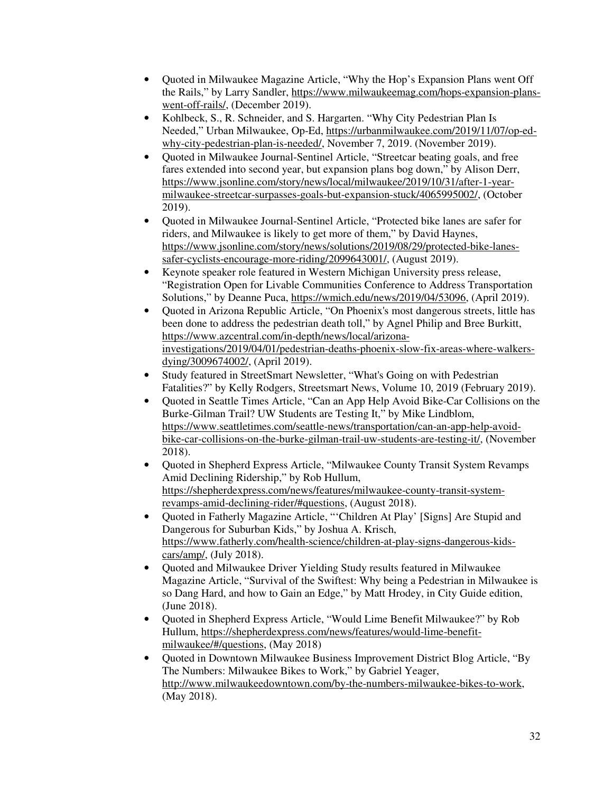- Quoted in Milwaukee Magazine Article, "Why the Hop's Expansion Plans went Off the Rails," by Larry Sandler, https://www.milwaukeemag.com/hops-expansion-planswent-off-rails/, (December 2019).
- Kohlbeck, S., R. Schneider, and S. Hargarten. "Why City Pedestrian Plan Is Needed," Urban Milwaukee, Op-Ed, https://urbanmilwaukee.com/2019/11/07/op-edwhy-city-pedestrian-plan-is-needed/, November 7, 2019. (November 2019).
- Quoted in Milwaukee Journal-Sentinel Article, "Streetcar beating goals, and free fares extended into second year, but expansion plans bog down," by Alison Derr, https://www.jsonline.com/story/news/local/milwaukee/2019/10/31/after-1-yearmilwaukee-streetcar-surpasses-goals-but-expansion-stuck/4065995002/, (October 2019).
- Quoted in Milwaukee Journal-Sentinel Article, "Protected bike lanes are safer for riders, and Milwaukee is likely to get more of them," by David Haynes, https://www.jsonline.com/story/news/solutions/2019/08/29/protected-bike-lanessafer-cyclists-encourage-more-riding/2099643001/, (August 2019).
- Keynote speaker role featured in Western Michigan University press release, "Registration Open for Livable Communities Conference to Address Transportation Solutions," by Deanne Puca, https://wmich.edu/news/2019/04/53096, (April 2019).
- Quoted in Arizona Republic Article, "On Phoenix's most dangerous streets, little has been done to address the pedestrian death toll," by Agnel Philip and Bree Burkitt, https://www.azcentral.com/in-depth/news/local/arizonainvestigations/2019/04/01/pedestrian-deaths-phoenix-slow-fix-areas-where-walkersdying/3009674002/, (April 2019).
- Study featured in StreetSmart Newsletter, "What's Going on with Pedestrian Fatalities?" by Kelly Rodgers, Streetsmart News, Volume 10, 2019 (February 2019).
- Quoted in Seattle Times Article, "Can an App Help Avoid Bike-Car Collisions on the Burke-Gilman Trail? UW Students are Testing It," by Mike Lindblom, https://www.seattletimes.com/seattle-news/transportation/can-an-app-help-avoidbike-car-collisions-on-the-burke-gilman-trail-uw-students-are-testing-it/, (November 2018).
- Quoted in Shepherd Express Article, "Milwaukee County Transit System Revamps" Amid Declining Ridership," by Rob Hullum, https://shepherdexpress.com/news/features/milwaukee-county-transit-systemrevamps-amid-declining-rider/#questions, (August 2018).
- Quoted in Fatherly Magazine Article, "'Children At Play' [Signs] Are Stupid and Dangerous for Suburban Kids," by Joshua A. Krisch, https://www.fatherly.com/health-science/children-at-play-signs-dangerous-kidscars/amp/, (July 2018).
- Quoted and Milwaukee Driver Yielding Study results featured in Milwaukee Magazine Article, "Survival of the Swiftest: Why being a Pedestrian in Milwaukee is so Dang Hard, and how to Gain an Edge," by Matt Hrodey, in City Guide edition, (June 2018).
- Quoted in Shepherd Express Article, "Would Lime Benefit Milwaukee?" by Rob Hullum, https://shepherdexpress.com/news/features/would-lime-benefitmilwaukee/#/questions, (May 2018)
- Quoted in Downtown Milwaukee Business Improvement District Blog Article, "By The Numbers: Milwaukee Bikes to Work," by Gabriel Yeager, http://www.milwaukeedowntown.com/by-the-numbers-milwaukee-bikes-to-work, (May 2018).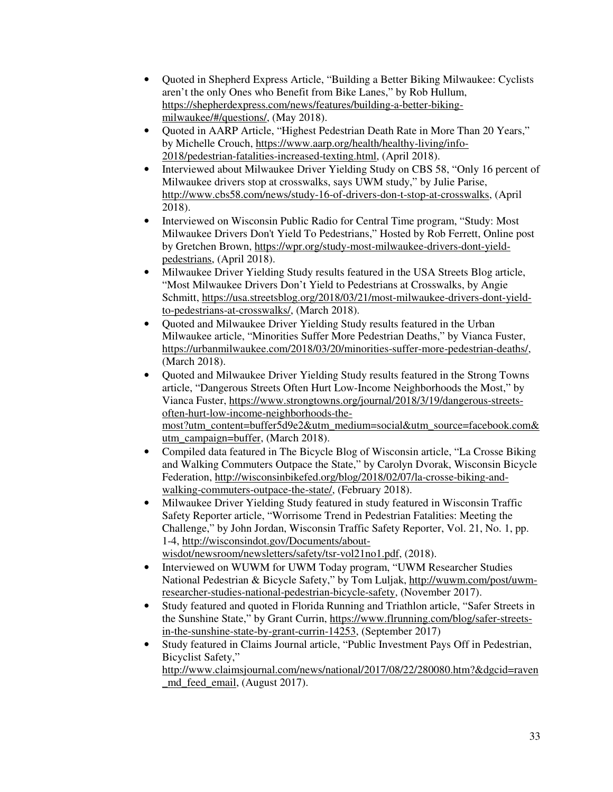- Quoted in Shepherd Express Article, "Building a Better Biking Milwaukee: Cyclists aren't the only Ones who Benefit from Bike Lanes," by Rob Hullum, https://shepherdexpress.com/news/features/building-a-better-bikingmilwaukee/#/questions/, (May 2018).
- Quoted in AARP Article, "Highest Pedestrian Death Rate in More Than 20 Years," by Michelle Crouch, https://www.aarp.org/health/healthy-living/info-2018/pedestrian-fatalities-increased-texting.html, (April 2018).
- Interviewed about Milwaukee Driver Yielding Study on CBS 58, "Only 16 percent of Milwaukee drivers stop at crosswalks, says UWM study," by Julie Parise, http://www.cbs58.com/news/study-16-of-drivers-don-t-stop-at-crosswalks, (April 2018).
- Interviewed on Wisconsin Public Radio for Central Time program, "Study: Most" Milwaukee Drivers Don't Yield To Pedestrians," Hosted by Rob Ferrett, Online post by Gretchen Brown, https://wpr.org/study-most-milwaukee-drivers-dont-yieldpedestrians, (April 2018).
- Milwaukee Driver Yielding Study results featured in the USA Streets Blog article, "Most Milwaukee Drivers Don't Yield to Pedestrians at Crosswalks, by Angie Schmitt, https://usa.streetsblog.org/2018/03/21/most-milwaukee-drivers-dont-yieldto-pedestrians-at-crosswalks/, (March 2018).
- Ouoted and Milwaukee Driver Yielding Study results featured in the Urban Milwaukee article, "Minorities Suffer More Pedestrian Deaths," by Vianca Fuster, https://urbanmilwaukee.com/2018/03/20/minorities-suffer-more-pedestrian-deaths/, (March 2018).
- Ouoted and Milwaukee Driver Yielding Study results featured in the Strong Towns article, "Dangerous Streets Often Hurt Low-Income Neighborhoods the Most," by Vianca Fuster, https://www.strongtowns.org/journal/2018/3/19/dangerous-streetsoften-hurt-low-income-neighborhoods-themost?utm\_content=buffer5d9e2&utm\_medium=social&utm\_source=facebook.com& utm\_campaign=buffer, (March 2018).
- Compiled data featured in The Bicycle Blog of Wisconsin article, "La Crosse Biking and Walking Commuters Outpace the State," by Carolyn Dvorak, Wisconsin Bicycle Federation, http://wisconsinbikefed.org/blog/2018/02/07/la-crosse-biking-andwalking-commuters-outpace-the-state/, (February 2018).
- Milwaukee Driver Yielding Study featured in study featured in Wisconsin Traffic Safety Reporter article, "Worrisome Trend in Pedestrian Fatalities: Meeting the Challenge," by John Jordan, Wisconsin Traffic Safety Reporter, Vol. 21, No. 1, pp. 1-4, http://wisconsindot.gov/Documents/aboutwisdot/newsroom/newsletters/safety/tsr-vol21no1.pdf, (2018).
- Interviewed on WUWM for UWM Today program, "UWM Researcher Studies National Pedestrian & Bicycle Safety," by Tom Luljak, http://wuwm.com/post/uwmresearcher-studies-national-pedestrian-bicycle-safety, (November 2017).
- Study featured and quoted in Florida Running and Triathlon article, "Safer Streets in the Sunshine State," by Grant Currin, https://www.flrunning.com/blog/safer-streetsin-the-sunshine-state-by-grant-currin-14253, (September 2017)
- Study featured in Claims Journal article, "Public Investment Pays Off in Pedestrian, Bicyclist Safety," http://www.claimsjournal.com/news/national/2017/08/22/280080.htm?&dgcid=raven md feed email, (August 2017).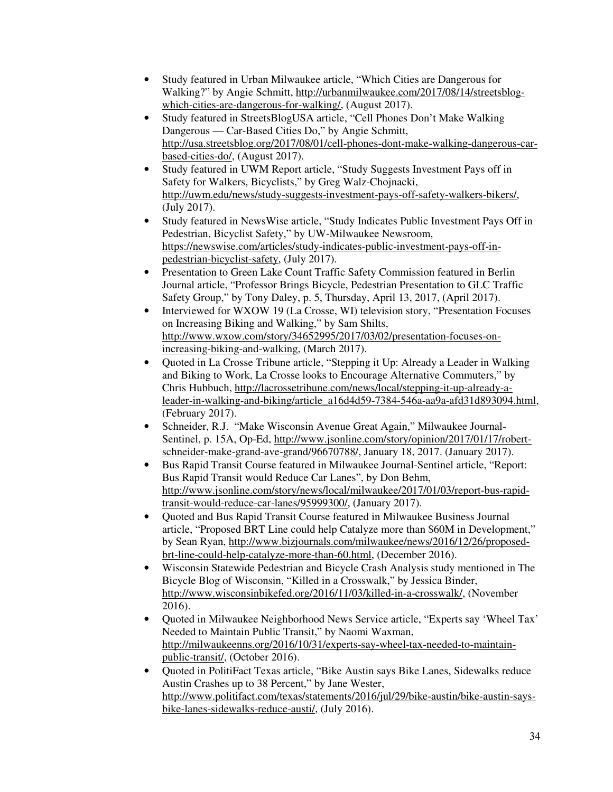- Study featured in Urban Milwaukee article, "Which Cities are Dangerous for Walking?" by Angie Schmitt, http://urbanmilwaukee.com/2017/08/14/streetsblogwhich-cities-are-dangerous-for-walking/, (August 2017).
- Study featured in StreetsBlogUSA article, "Cell Phones Don't Make Walking Dangerous — Car-Based Cities Do," by Angie Schmitt, http://usa.streetsblog.org/2017/08/01/cell-phones-dont-make-walking-dangerous-carbased-cities-do/, (August 2017).
- Study featured in UWM Report article, "Study Suggests Investment Pays off in Safety for Walkers, Bicyclists," by Greg Walz-Chojnacki, http://uwm.edu/news/study-suggests-investment-pays-off-safety-walkers-bikers/, (July 2017).
- Study featured in NewsWise article, "Study Indicates Public Investment Pays Off in Pedestrian, Bicyclist Safety," by UW-Milwaukee Newsroom, https://newswise.com/articles/study-indicates-public-investment-pays-off-inpedestrian-bicyclist-safety, (July 2017).
- Presentation to Green Lake Count Traffic Safety Commission featured in Berlin Journal article, "Professor Brings Bicycle, Pedestrian Presentation to GLC Traffic Safety Group," by Tony Daley, p. 5, Thursday, April 13, 2017, (April 2017).
- Interviewed for WXOW 19 (La Crosse, WI) television story, "Presentation Focuses" on Increasing Biking and Walking," by Sam Shilts, http://www.wxow.com/story/34652995/2017/03/02/presentation-focuses-onincreasing-biking-and-walking, (March 2017).
- Quoted in La Crosse Tribune article, "Stepping it Up: Already a Leader in Walking and Biking to Work, La Crosse looks to Encourage Alternative Commuters," by Chris Hubbuch, http://lacrossetribune.com/news/local/stepping-it-up-already-aleader-in-walking-and-biking/article\_a16d4d59-7384-546a-aa9a-afd31d893094.html, (February 2017).
- Schneider, R.J. "Make Wisconsin Avenue Great Again," Milwaukee Journal-Sentinel, p. 15A, Op-Ed, http://www.jsonline.com/story/opinion/2017/01/17/robertschneider-make-grand-ave-grand/96670788/, January 18, 2017. (January 2017).
- Bus Rapid Transit Course featured in Milwaukee Journal-Sentinel article, "Report: Bus Rapid Transit would Reduce Car Lanes", by Don Behm, http://www.jsonline.com/story/news/local/milwaukee/2017/01/03/report-bus-rapidtransit-would-reduce-car-lanes/95999300/, (January 2017).
- Quoted and Bus Rapid Transit Course featured in Milwaukee Business Journal article, "Proposed BRT Line could help Catalyze more than \$60M in Development," by Sean Ryan, http://www.bizjournals.com/milwaukee/news/2016/12/26/proposedbrt-line-could-help-catalyze-more-than-60.html, (December 2016).
- Wisconsin Statewide Pedestrian and Bicycle Crash Analysis study mentioned in The Bicycle Blog of Wisconsin, "Killed in a Crosswalk," by Jessica Binder, http://www.wisconsinbikefed.org/2016/11/03/killed-in-a-crosswalk/, (November 2016).
- Quoted in Milwaukee Neighborhood News Service article, "Experts say 'Wheel Tax' Needed to Maintain Public Transit," by Naomi Waxman, http://milwaukeenns.org/2016/10/31/experts-say-wheel-tax-needed-to-maintainpublic-transit/, (October 2016).
- Quoted in PolitiFact Texas article, "Bike Austin says Bike Lanes, Sidewalks reduce Austin Crashes up to 38 Percent," by Jane Wester, http://www.politifact.com/texas/statements/2016/jul/29/bike-austin/bike-austin-saysbike-lanes-sidewalks-reduce-austi/, (July 2016).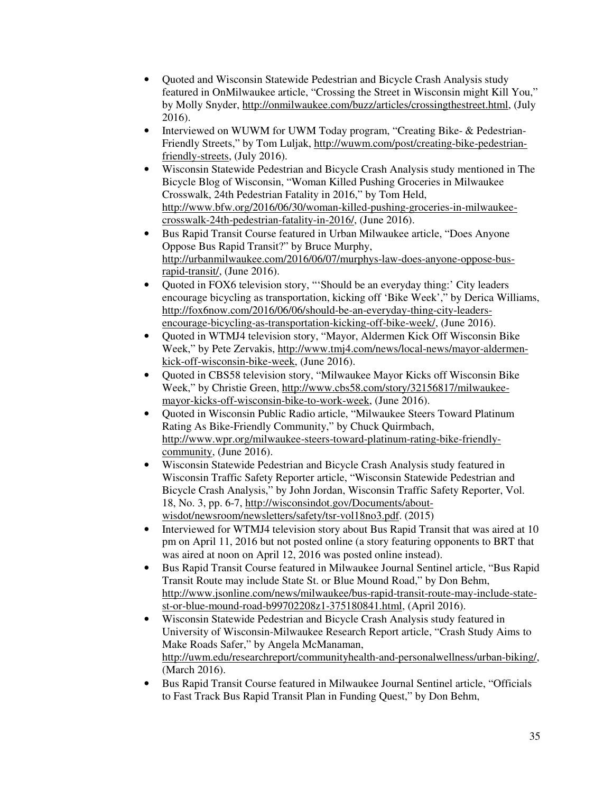- Quoted and Wisconsin Statewide Pedestrian and Bicycle Crash Analysis study featured in OnMilwaukee article, "Crossing the Street in Wisconsin might Kill You," by Molly Snyder, http://onmilwaukee.com/buzz/articles/crossingthestreet.html, (July 2016).
- Interviewed on WUWM for UWM Today program, "Creating Bike- & Pedestrian-Friendly Streets," by Tom Luljak, http://wuwm.com/post/creating-bike-pedestrianfriendly-streets, (July 2016).
- Wisconsin Statewide Pedestrian and Bicycle Crash Analysis study mentioned in The Bicycle Blog of Wisconsin, "Woman Killed Pushing Groceries in Milwaukee Crosswalk, 24th Pedestrian Fatality in 2016," by Tom Held, http://www.bfw.org/2016/06/30/woman-killed-pushing-groceries-in-milwaukeecrosswalk-24th-pedestrian-fatality-in-2016/, (June 2016).
- Bus Rapid Transit Course featured in Urban Milwaukee article, "Does Anyone Oppose Bus Rapid Transit?" by Bruce Murphy, http://urbanmilwaukee.com/2016/06/07/murphys-law-does-anyone-oppose-busrapid-transit/, (June 2016).
- Quoted in FOX6 television story, "'Should be an everyday thing:' City leaders encourage bicycling as transportation, kicking off 'Bike Week'," by Derica Williams, http://fox6now.com/2016/06/06/should-be-an-everyday-thing-city-leadersencourage-bicycling-as-transportation-kicking-off-bike-week/, (June 2016).
- Quoted in WTMJ4 television story, "Mayor, Aldermen Kick Off Wisconsin Bike Week," by Pete Zervakis, http://www.tmj4.com/news/local-news/mayor-aldermenkick-off-wisconsin-bike-week, (June 2016).
- Quoted in CBS58 television story, "Milwaukee Mayor Kicks off Wisconsin Bike Week," by Christie Green, http://www.cbs58.com/story/32156817/milwaukeemayor-kicks-off-wisconsin-bike-to-work-week, (June 2016).
- Quoted in Wisconsin Public Radio article, "Milwaukee Steers Toward Platinum Rating As Bike-Friendly Community," by Chuck Quirmbach, http://www.wpr.org/milwaukee-steers-toward-platinum-rating-bike-friendlycommunity, (June 2016).
- Wisconsin Statewide Pedestrian and Bicycle Crash Analysis study featured in Wisconsin Traffic Safety Reporter article, "Wisconsin Statewide Pedestrian and Bicycle Crash Analysis," by John Jordan, Wisconsin Traffic Safety Reporter, Vol. 18, No. 3, pp. 6-7, http://wisconsindot.gov/Documents/aboutwisdot/newsroom/newsletters/safety/tsr-vol18no3.pdf. (2015)
- Interviewed for WTMJ4 television story about Bus Rapid Transit that was aired at 10 pm on April 11, 2016 but not posted online (a story featuring opponents to BRT that was aired at noon on April 12, 2016 was posted online instead).
- Bus Rapid Transit Course featured in Milwaukee Journal Sentinel article, "Bus Rapid Transit Route may include State St. or Blue Mound Road," by Don Behm, http://www.jsonline.com/news/milwaukee/bus-rapid-transit-route-may-include-statest-or-blue-mound-road-b99702208z1-375180841.html, (April 2016).
- Wisconsin Statewide Pedestrian and Bicycle Crash Analysis study featured in University of Wisconsin-Milwaukee Research Report article, "Crash Study Aims to Make Roads Safer," by Angela McManaman, http://uwm.edu/researchreport/communityhealth-and-personalwellness/urban-biking/, (March 2016).
- Bus Rapid Transit Course featured in Milwaukee Journal Sentinel article, "Officials to Fast Track Bus Rapid Transit Plan in Funding Quest," by Don Behm,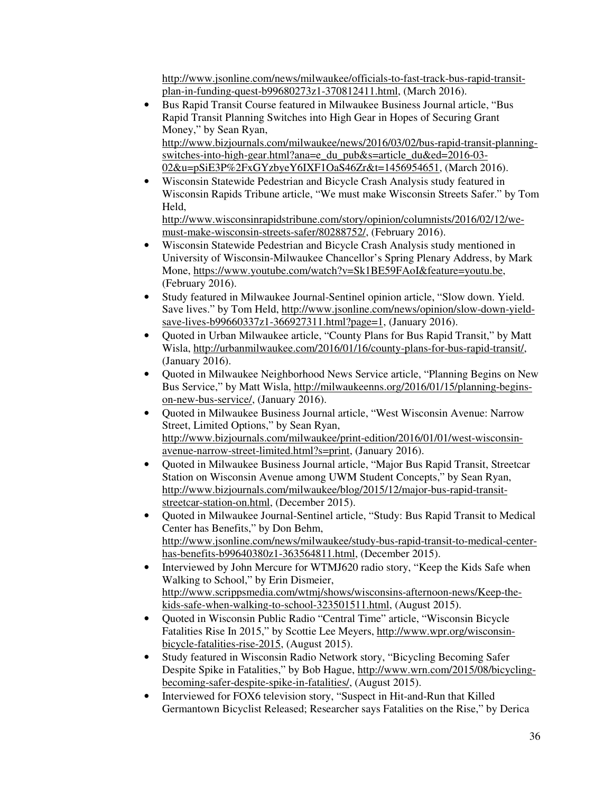http://www.jsonline.com/news/milwaukee/officials-to-fast-track-bus-rapid-transitplan-in-funding-quest-b99680273z1-370812411.html, (March 2016).

• Bus Rapid Transit Course featured in Milwaukee Business Journal article, "Bus Rapid Transit Planning Switches into High Gear in Hopes of Securing Grant Money," by Sean Ryan, http://www.bizjournals.com/milwaukee/news/2016/03/02/bus-rapid-transit-planning-

switches-into-high-gear.html?ana=e\_du\_pub&s=article\_du&ed=2016-03- 02&u=pSiE3P%2FxGYzbyeY6IXF1OaS46Zr&t=1456954651, (March 2016).

• Wisconsin Statewide Pedestrian and Bicycle Crash Analysis study featured in Wisconsin Rapids Tribune article, "We must make Wisconsin Streets Safer." by Tom Held,

http://www.wisconsinrapidstribune.com/story/opinion/columnists/2016/02/12/wemust-make-wisconsin-streets-safer/80288752/, (February 2016).

- Wisconsin Statewide Pedestrian and Bicycle Crash Analysis study mentioned in University of Wisconsin-Milwaukee Chancellor's Spring Plenary Address, by Mark Mone, https://www.youtube.com/watch?v=Sk1BE59FAoI&feature=youtu.be, (February 2016).
- Study featured in Milwaukee Journal-Sentinel opinion article, "Slow down. Yield. Save lives." by Tom Held, http://www.jsonline.com/news/opinion/slow-down-yieldsave-lives-b99660337z1-366927311.html?page=1, (January 2016).
- Quoted in Urban Milwaukee article, "County Plans for Bus Rapid Transit," by Matt Wisla, http://urbanmilwaukee.com/2016/01/16/county-plans-for-bus-rapid-transit/, (January 2016).
- Quoted in Milwaukee Neighborhood News Service article, "Planning Begins on New Bus Service," by Matt Wisla, http://milwaukeenns.org/2016/01/15/planning-beginson-new-bus-service/, (January 2016).
- Quoted in Milwaukee Business Journal article, "West Wisconsin Avenue: Narrow Street, Limited Options," by Sean Ryan, http://www.bizjournals.com/milwaukee/print-edition/2016/01/01/west-wisconsinavenue-narrow-street-limited.html?s=print, (January 2016).
- Quoted in Milwaukee Business Journal article, "Major Bus Rapid Transit, Streetcar Station on Wisconsin Avenue among UWM Student Concepts," by Sean Ryan, http://www.bizjournals.com/milwaukee/blog/2015/12/major-bus-rapid-transitstreetcar-station-on.html, (December 2015).
- Quoted in Milwaukee Journal-Sentinel article, "Study: Bus Rapid Transit to Medical Center has Benefits," by Don Behm, http://www.jsonline.com/news/milwaukee/study-bus-rapid-transit-to-medical-centerhas-benefits-b99640380z1-363564811.html, (December 2015).
- Interviewed by John Mercure for WTMJ620 radio story, "Keep the Kids Safe when Walking to School," by Erin Dismeier, http://www.scrippsmedia.com/wtmj/shows/wisconsins-afternoon-news/Keep-thekids-safe-when-walking-to-school-323501511.html, (August 2015).
- Quoted in Wisconsin Public Radio "Central Time" article, "Wisconsin Bicycle Fatalities Rise In 2015," by Scottie Lee Meyers, http://www.wpr.org/wisconsinbicycle-fatalities-rise-2015, (August 2015).
- Study featured in Wisconsin Radio Network story, "Bicycling Becoming Safer Despite Spike in Fatalities," by Bob Hague, http://www.wrn.com/2015/08/bicyclingbecoming-safer-despite-spike-in-fatalities/, (August 2015).
- Interviewed for FOX6 television story, "Suspect in Hit-and-Run that Killed Germantown Bicyclist Released; Researcher says Fatalities on the Rise," by Derica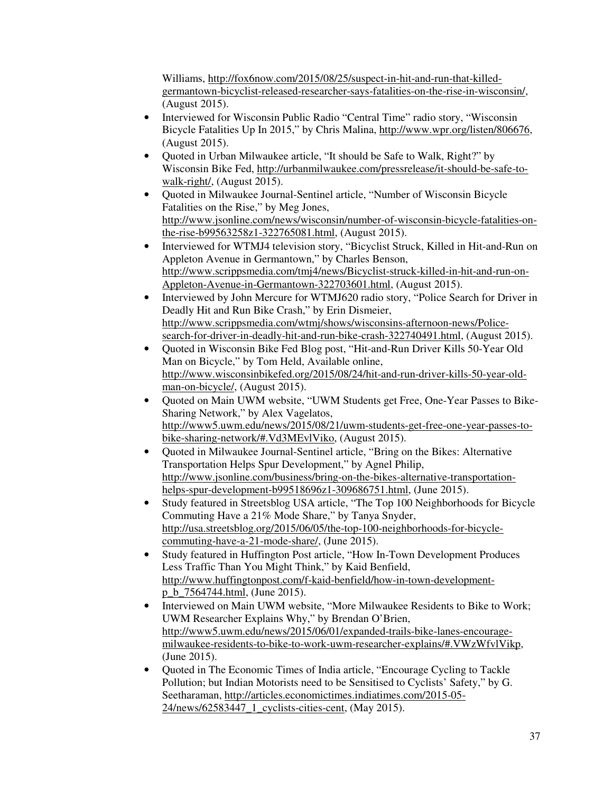Williams, http://fox6now.com/2015/08/25/suspect-in-hit-and-run-that-killedgermantown-bicyclist-released-researcher-says-fatalities-on-the-rise-in-wisconsin/, (August 2015).

- Interviewed for Wisconsin Public Radio "Central Time" radio story, "Wisconsin Bicycle Fatalities Up In 2015," by Chris Malina, http://www.wpr.org/listen/806676, (August 2015).
- Quoted in Urban Milwaukee article, "It should be Safe to Walk, Right?" by Wisconsin Bike Fed, http://urbanmilwaukee.com/pressrelease/it-should-be-safe-towalk-right/, (August 2015).
- Quoted in Milwaukee Journal-Sentinel article, "Number of Wisconsin Bicycle Fatalities on the Rise," by Meg Jones, http://www.jsonline.com/news/wisconsin/number-of-wisconsin-bicycle-fatalities-onthe-rise-b99563258z1-322765081.html, (August 2015).
- Interviewed for WTMJ4 television story, "Bicyclist Struck, Killed in Hit-and-Run on Appleton Avenue in Germantown," by Charles Benson, http://www.scrippsmedia.com/tmj4/news/Bicyclist-struck-killed-in-hit-and-run-on-Appleton-Avenue-in-Germantown-322703601.html, (August 2015).
- Interviewed by John Mercure for WTMJ620 radio story, "Police Search for Driver in Deadly Hit and Run Bike Crash," by Erin Dismeier, http://www.scrippsmedia.com/wtmj/shows/wisconsins-afternoon-news/Policesearch-for-driver-in-deadly-hit-and-run-bike-crash-322740491.html, (August 2015).
- Quoted in Wisconsin Bike Fed Blog post, "Hit-and-Run Driver Kills 50-Year Old Man on Bicycle," by Tom Held, Available online, http://www.wisconsinbikefed.org/2015/08/24/hit-and-run-driver-kills-50-year-oldman-on-bicycle/, (August 2015).
- Quoted on Main UWM website, "UWM Students get Free, One-Year Passes to Bike-Sharing Network," by Alex Vagelatos, http://www5.uwm.edu/news/2015/08/21/uwm-students-get-free-one-year-passes-tobike-sharing-network/#.Vd3MEvlViko, (August 2015).
- Quoted in Milwaukee Journal-Sentinel article, "Bring on the Bikes: Alternative Transportation Helps Spur Development," by Agnel Philip, http://www.jsonline.com/business/bring-on-the-bikes-alternative-transportationhelps-spur-development-b99518696z1-309686751.html, (June 2015).
- Study featured in Streetsblog USA article, "The Top 100 Neighborhoods for Bicycle Commuting Have a 21% Mode Share," by Tanya Snyder, http://usa.streetsblog.org/2015/06/05/the-top-100-neighborhoods-for-bicyclecommuting-have-a-21-mode-share/, (June 2015).
- Study featured in Huffington Post article, "How In-Town Development Produces Less Traffic Than You Might Think," by Kaid Benfield, http://www.huffingtonpost.com/f-kaid-benfield/how-in-town-developmentp\_b\_7564744.html, (June 2015).
- Interviewed on Main UWM website, "More Milwaukee Residents to Bike to Work; UWM Researcher Explains Why," by Brendan O'Brien, http://www5.uwm.edu/news/2015/06/01/expanded-trails-bike-lanes-encouragemilwaukee-residents-to-bike-to-work-uwm-researcher-explains/#.VWzWfvlVikp, (June 2015).
- Quoted in The Economic Times of India article, "Encourage Cycling to Tackle Pollution; but Indian Motorists need to be Sensitised to Cyclists' Safety," by G. Seetharaman, http://articles.economictimes.indiatimes.com/2015-05- 24/news/62583447\_1\_cyclists-cities-cent, (May 2015).